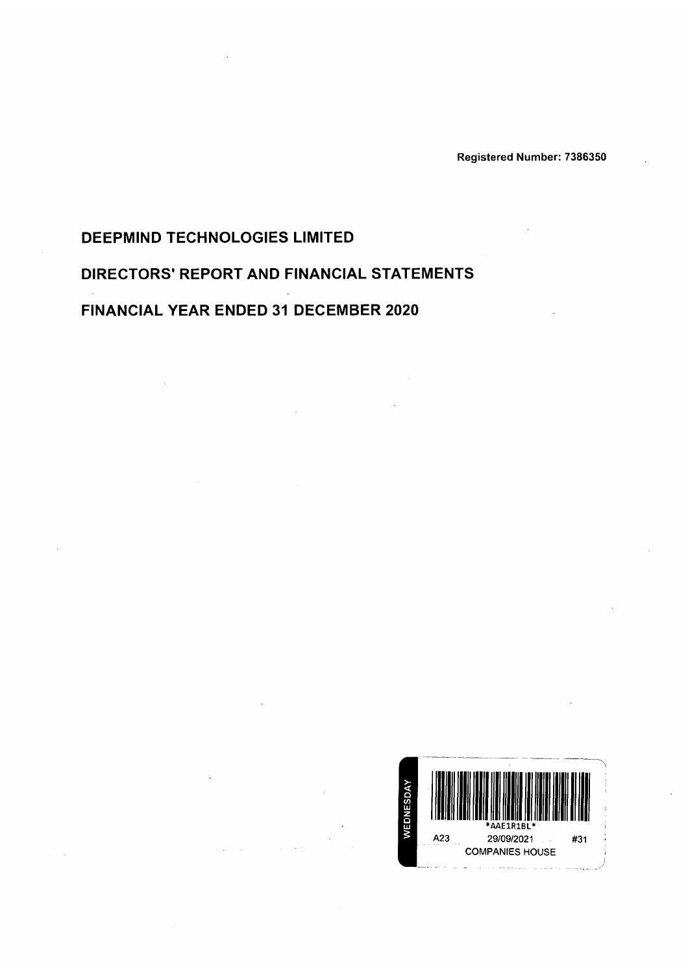Registered Number: 7386350

# DEEPMIND TECHNOLOGIES LIMITED

# DIRECTORS' REPORT AND FINANCIAL STATEMENTS FINANCIAL YEAR ENDED 31 DECEMBER 2020

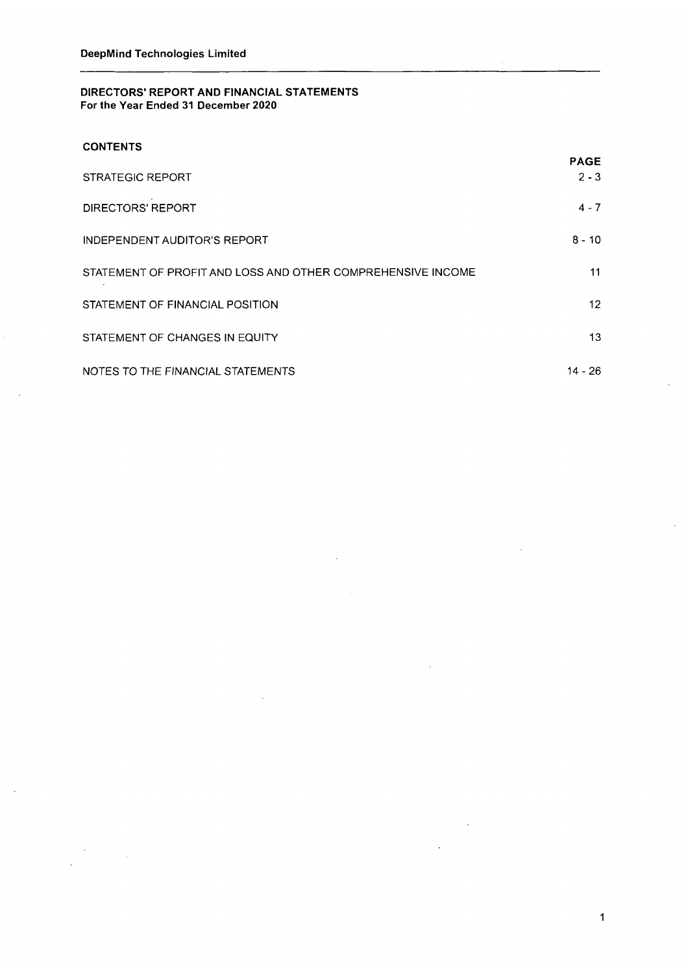# DIRECTORS' REPORT AND FINANCIAL STATEMENTS For the Year Ended 31 December 2020

 $\sim$ 

| <b>CONTENTS</b>                                             |                 |
|-------------------------------------------------------------|-----------------|
|                                                             | <b>PAGE</b>     |
| STRATEGIC REPORT                                            | $2 - 3$         |
| <b>DIRECTORS' REPORT</b>                                    | $4 - 7$         |
| INDEPENDENT AUDITOR'S REPORT                                | $8 - 10$        |
| STATEMENT OF PROFIT AND LOSS AND OTHER COMPREHENSIVE INCOME | 11              |
| STATEMENT OF FINANCIAL POSITION                             | 12 <sup>2</sup> |
| STATEMENT OF CHANGES IN EQUITY                              | 13              |
| NOTES TO THE FINANCIAL STATEMENTS                           | 14 - 26         |

 $\mathcal{L}^{\mathcal{A}}$ 

 $\ddot{\phantom{a}}$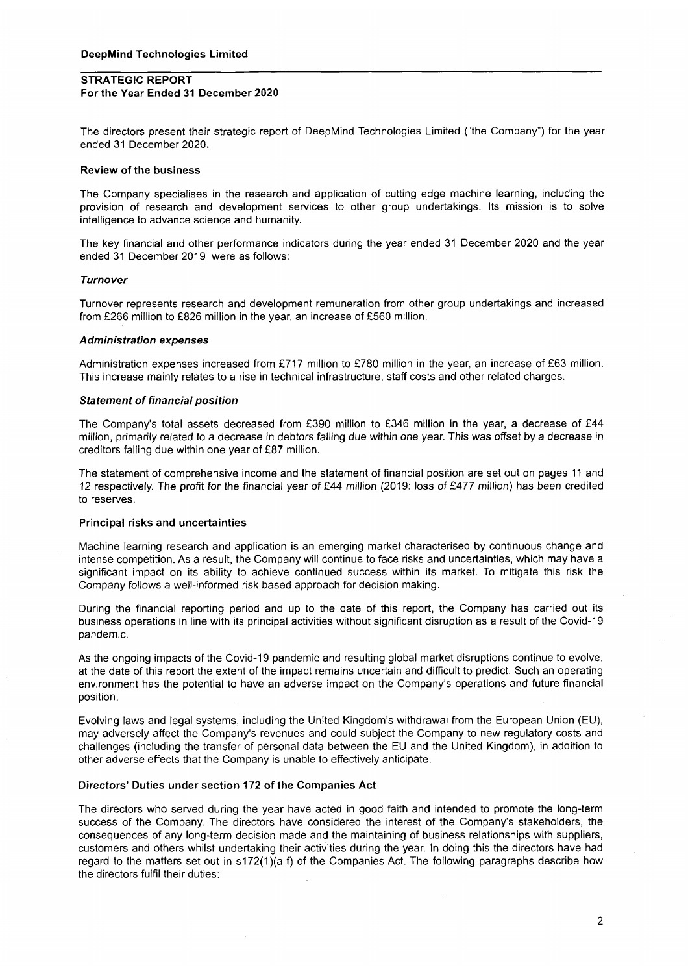# STRATEGIC REPORT For the Year Ended 31 December 2020

The directors present their strategic report of DeepMind Technologies Limited ("the Company") for the year ended 31 December 2020.

## Review of the business

The Company specialises in the research and application of cutting edge machine learning, including the provision of research and development services to other group undertakings. Its mission is to solve intelligence to advance science and humanity.

The key financial and other performance indicators during the year ended 31 December 2020 and the year ended 31 December 2019 were as follows:

#### **Turnover**

Turnover represents research and development remuneration from other group undertakings and increased from £266 million to £826 million in the year, an increase of £560 million.

#### Administration expenses

Administration expenses increased from £717 million to £780 million in the year, an increase of £63 million. This increase mainly relates to a rise in technical infrastructure, staff costs and other related charges.

#### Statement of financial position

The Company's total assets decreased from £390 million to £346 million in the year, a decrease of £44 million, primarily related to a decrease in debtors failing due within one year. This was offset by a decrease in creditors falling due within one year of £87 million.

The statement of comprehensive income and the statement of financial position are set out on pages 11 and 12 respectively. The profit for the financial year of £44 million (2019: loss of £477 million) has been credited to reserves.

#### Principal risks and uncertainties

Machine learning research and application is an emerging market characterised by continuous change and intense competition. As a result, the Company will continue to face risks and uncertainties, which may have a significant impact on its ability to achieve continued success within its market. To mitigate this risk the Company follows a well-informed risk based approach for decision making.

During the financial reporting period and up to the date of this report, the Company has carried out its business operations in line with its principal activities without significant disruption as a result of the Covid-19 pandemic.

As the ongoing impacts of the Covid-19 pandemic and resulting global market disruptions continue to evolve, at the date of this report the extent of the impact remains uncertain and difficult to predict. Such an operating environment has the potential to have an adverse impact on the Company's operations and future financial position.

Evolving laws and legal systems, including the United Kingdom's withdrawal from the European Union (EU), may adversely affect the Company's revenues and could subject the Company to new regulatory costs and challenges (including the transfer of personal data between the EU and the United Kingdom), in addition to other adverse effects that the Company is unable to effectively anticipate.

#### Directors' Duties under section 172 of the Companies Act

The directors who served during the year have acted in good faith and intended to promote the long-term success of the Company. The directors have considered the interest of the Company's stakeholders, the consequences of any long-term decision made and the maintaining of business relationships with suppliers, customers and others whilst undertaking their activities during the year. In doing this the directors have had regard to the matters set out in s172(1)(a-f) of the Companies Act. The following paragraphs describe how the directors fulfil their duties:

 $\overline{2}$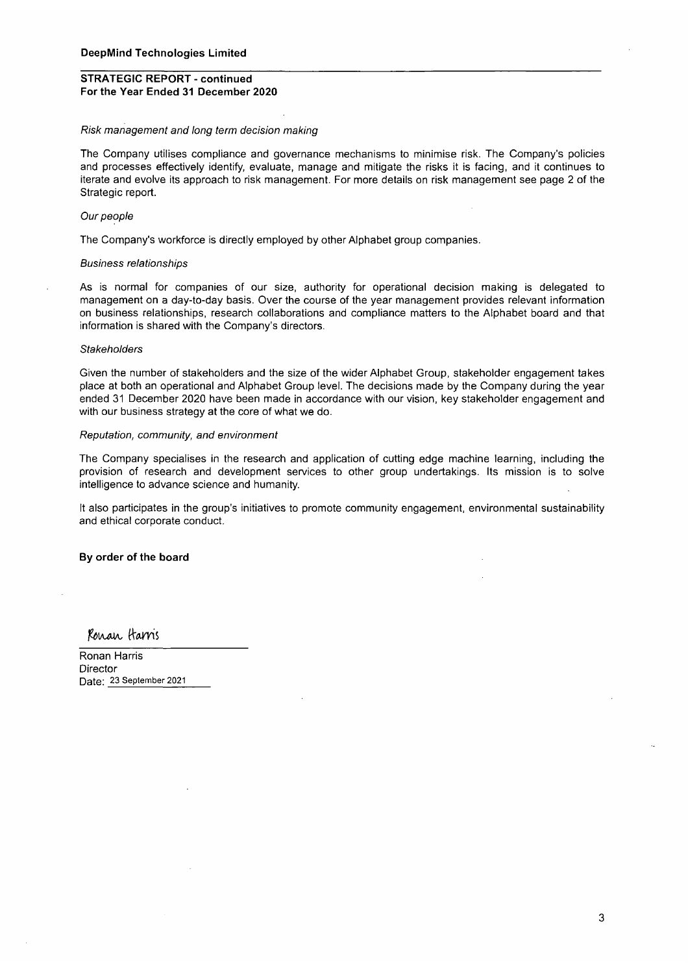# STRATEGIC REPORT - continued For the Year Ended 31 December 2020

#### Risk management and long term decision making

The Company utilises compliance and governance mechanisms to minimise risk. The Company's policies and processes effectively identify, evaluate, manage and mitigate the risks it is facing, and it continues to iterate and evolve its approach to risk management. For more details on risk management see page 2 of the Strategic report.

#### Our people

The Company's workforce is directly employed by other Alphabet group companies.

#### Business relationships

As is normal for companies of our size, authority for operational decision making is delegated to management on a day-to-day basis. Over the course of the year management provides relevant information on business relationships, research collaborations and compliance matters to the Alphabet board and that information is shared with the Company's directors.

# **Stakeholders**

Given the number of stakeholders and the size of the wider Alphabet Group, stakeholder engagement takes place at both an operational and Alphabet Group level. The decisions made by the Company during the year ended 31 December 2020 have been made in accordance with our vision, key stakeholder engagement and with our business strategy at the core of what we do. on business relationships, researce<br>information is shared with the Compromation is shared with the Compromation<br>Stakeholders<br>glace at both an operational and Al<br>ended 31 December 2020 have be<br>with our business strategy at

#### Reputation, community, and environment

The Company specialises in the research and application of cutting edge machine learning, including the provision of research and development services to other group undertakings. Its mission is to solve intelligence to advance science and humanity.

It also participates in the group's initiatives to promote community engagement, environmental sustainability and ethical corporate conduct.

#### By order of the board

Konan Kons

Ronan Harris **Director** Date: 23 September 2021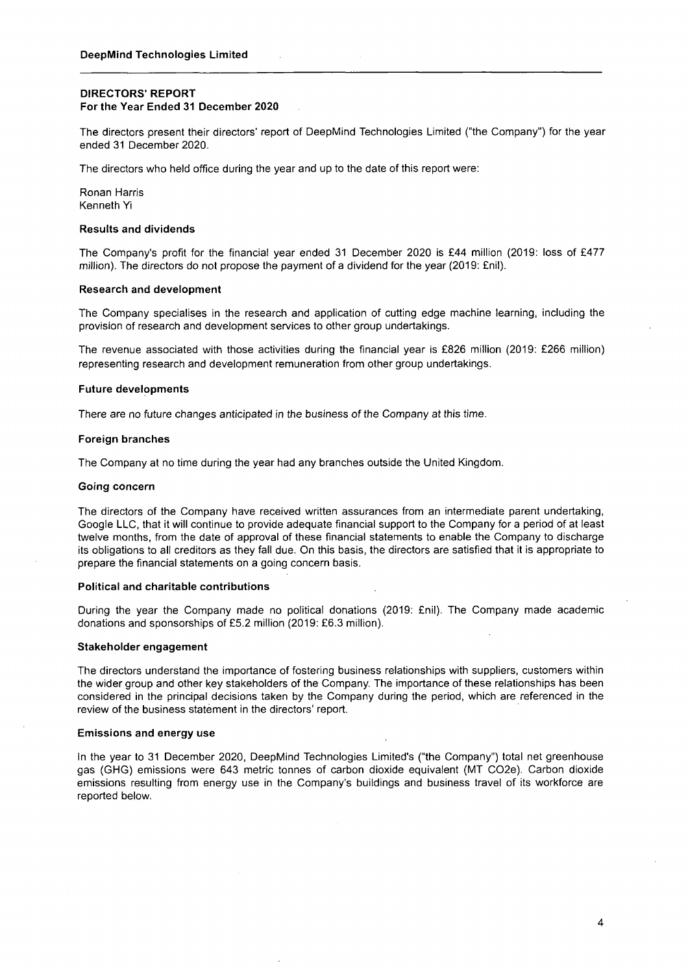# DIRECTORS' REPORT

# For the Year Ended 31 December 2020

The directors present their directors' report of DeepMind Technologies Limited ("the Company") for the year ended 31 December 2020.

The directors who held office during the year and up to the date of this report were:

Ronan Harris Kenneth Yi

#### Results and dividends

The Company's profit for the financial year ended 31 December 2020 is £44 million (2019: loss of £477 million). The directors do not propose the payment of a dividend for the year (2019: Enil).

#### Research and development

The Company specialises in the research and application of cutting edge machine learning, including the provision of research and development services to other group undertakings.

The revenue associated with those activities during the financial year is £826 million (2019: £266 million) representing research and development remuneration from other group undertakings.

#### Future developments

There are no future changes anticipated in the business of the Company at this time.

#### Foreign branches

The Company at no time during the year had any branches outside the United Kingdom.

#### Going concern

The directors of the Company have received written assurances from an intermediate parent undertaking, Google LLC, that it will continue to provide adequate financial support to the Company for a period of at least twelve months, from the date of approval of these financial statements to enable the Company to discharge its obligations to all creditors as they fall due. On this basis, the directors are satisfied that it is appropriate to prepare the financial statements on a going concern basis.

#### Political and charitable contributions

During the year the Company made no political donations (2019: £nil). The Company made academic donations and sponsorships of £5.2 million (2019: £6.3 million).

#### Stakeholder engagement

The directors understand the importance of fostering business relationships with suppliers, customers within the wider group and other key stakeholders of the Company. The importance of these relationships has been considered in the principal decisions taken by the Company during the period, which are referenced in the review of the business statement in the directors' report.

#### Emissions and energy use

In the year to 31 December 2020, DeepMind Technologies Limited's ("the Company") total net greenhouse gas (GHG) emissions were 643 metric tonnes of carbon dioxide equivalent (MT CO2e). Carbon dioxide emissions resulting from energy use in the Company's buildings and business travel of its workforce are reported below.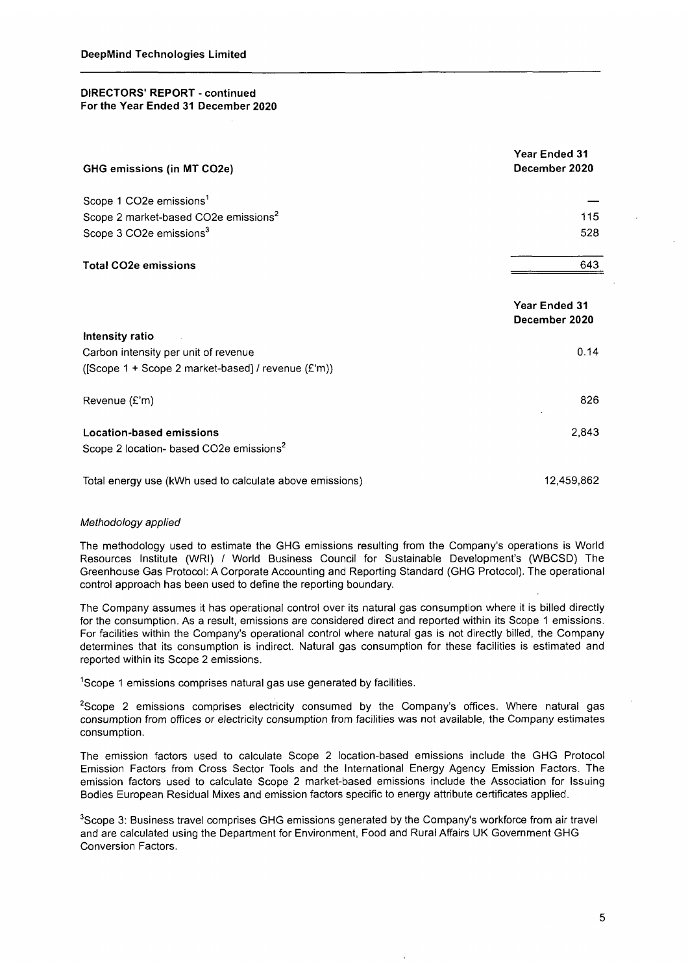## DIRECTORS' REPORT - continued For the Year Ended 31 December 2020

| GHG emissions (in MT CO2e)                               | <b>Year Ended 31</b><br>December 2020 |
|----------------------------------------------------------|---------------------------------------|
| Scope 1 CO2e emissions <sup>1</sup>                      |                                       |
| Scope 2 market-based CO2e emissions <sup>2</sup>         | 115                                   |
| Scope 3 CO2e emissions <sup>3</sup>                      | 528                                   |
| <b>Total CO2e emissions</b>                              | 643                                   |
|                                                          | <b>Year Ended 31</b><br>December 2020 |
| Intensity ratio                                          |                                       |
| Carbon intensity per unit of revenue                     | 0.14                                  |
| ([Scope 1 + Scope 2 market-based] / revenue (£'m))       |                                       |
| Revenue (£'m)                                            | 826                                   |
| <b>Location-based emissions</b>                          | 2,843                                 |
| Scope 2 location- based CO2e emissions <sup>2</sup>      |                                       |
| Total energy use (kWh used to calculate above emissions) | 12,459,862                            |

#### Methodology applied

The methodology used to estimate the GHG emissions resulting from the Company's operations is World Resources Institute (WRI) / World Business Council for Sustainable Development's (WBCSD) The Greenhouse Gas Protocol: A Corporate Accounting and Reporting Standard (GHG Protocol). The operational control approach has been used to define the reporting boundary.

The Company assumes it has operational control over its natural gas consumption where it is billed directly for the consumption. As a result, emissions are considered direct and reported within its Scope 1 emissions. For facilities within the Company's operational control where natural gas is not directly billed, the Company determines that its consumption is indirect. Natural gas consumption for these facilities is estimated and reported within its Scope 2 emissions.

<sup>1</sup>Scope 1 emissions comprises natural gas use generated by facilities.

 $2$  Scope 2 emissions comprises electricity consumed by the Company's offices. Where natural gas consumption from offices or electricity consumption from facilities was not available, the Company estimates consumption.

The emission factors used to calculate Scope 2 location-based emissions include the GHG Protocol Emission Factors from Cross Sector Tools and the International Energy Agency Emission Factors. The emission factors used to calculate Scope 2 market-based emissions include the Association for issuing Bodies European Residual Mixes and emission factors specific to energy attribute certificates applied.

<sup>3</sup>Scope 3: Business travel comprises GHG emissions generated by the Company's workforce from air travel and are calculated using the Department for Environment, Food and Rural Affairs UK Government GHG Conversion Factors.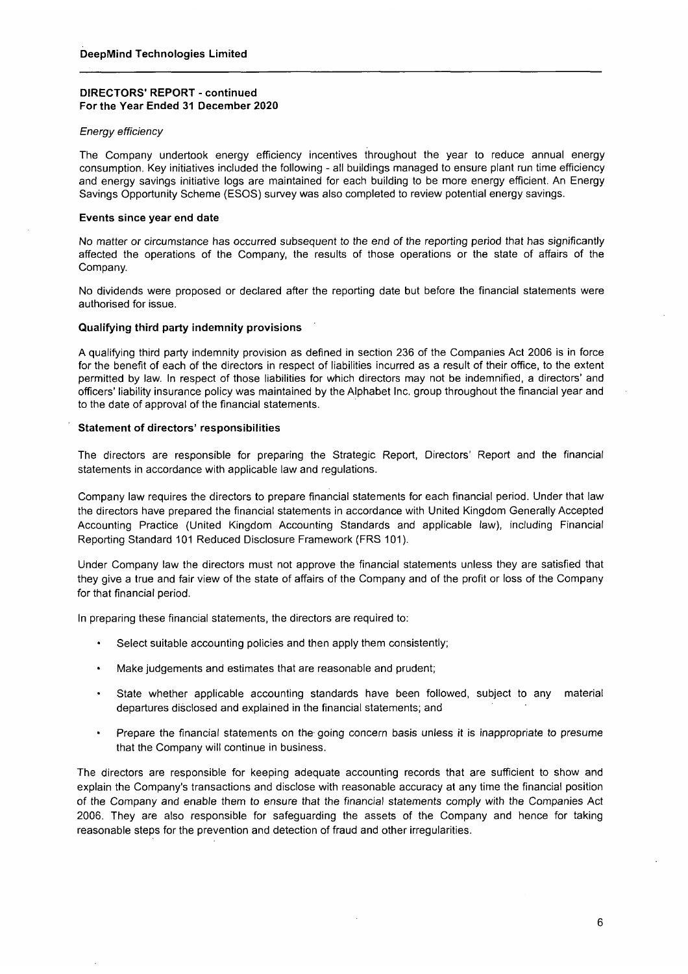## DIRECTORS' REPORT - continued For the Year Ended 31 December 2020

#### Energy efficiency

The Company undertook energy efficiency incentives throughout the year to reduce annual energy consumption. Key initiatives included the following - all buildings managed to ensure plant run time efficiency and energy savings initiative logs are maintained for each building to be more energy efficient. An Energy Savings Opportunity Scheme (ESOS) survey was also completed to review potential energy savings.

#### Events since year end date

No matter or circumstance has occurred subsequent to the end of the reporting period that has significantly affected the operations of the Company, the results of those operations or the state of affairs of the Company.

No dividends were proposed or declared after the reporting date but before the financial statements were authorised for issue.

#### Qualifying third party indemnity provisions

A qualifying third party indemnity provision as defined in section 236 of the Companies Act 2006 is in force for the benefit of each of the directors in respect of liabilities incurred as a result of their office, to the extent permitted by law. Jn respect of those liabilities for which directors may not be indemnified, a directors' and officers' liability insurance policy was maintained by the Alphabet Inc. group throughout the financial year and to the date of approval of the financial statements.

#### Statement of directors' responsibilities

The directors are responsible for preparing the Strategic Report, Directors' Report and the financial statements in accordance with applicable law and regulations.

Company law requires the directors to prepare financial statements for each financial period. Under that law the directors have prepared the financial statements in accordance with United Kingdom Generally Accepted Accounting Practice (United Kingdom Accounting Standards and applicable law), including Financial Reporting Standard 101 Reduced Disclosure Framework (FRS 101).

Under Company law the directors must not approve the financial statements unless they are satisfied that they give a true and fair view of the state of affairs of the Company and of the profit or loss of the Company for that financial period.

In preparing these financial statements, the directors are required to:

- Select suitable accounting policies and then apply them consistently;
- \* Make judgements and estimates that are reasonable and prudent;
- State whether applicable accounting standards have been followed, subject to any material departures disclosed and explained in the financial statements; and
- \* Prepare the financial statements on the going concern basis unless it is inappropriate to presume that the Company will continue in business.

The directors are responsible for keeping adequate accounting records that are sufficient to show and explain the Company's transactions and disclose with reasonable accuracy at any time the financial position of the Company and enable them to ensure that the financial statements comply with the Companies Act 2006. They are also responsible for safeguarding the assets of the Company and hence for taking reasonable steps for the prevention and detection of fraud and other irregularities.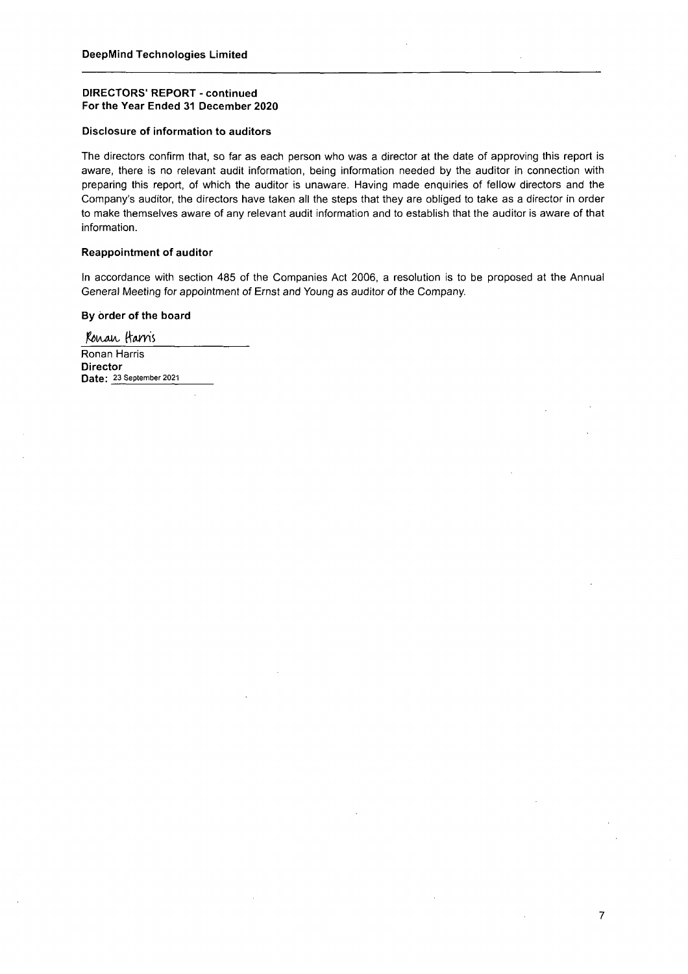# DIRECTORS' REPORT - continued For the Year Ended 31 December 2020

#### Disclosure of information to auditors

The directors confirm that, so far as each person who was a director at the date of approving this report is aware, there is no relevant audit information, being information needed by the auditor in connection with preparing this report, of which the auditor is unaware. Having made enquiries of fellow directors and the Company's auditor, the directors have taken all the steps that they are obliged to take as a director in order to make themselves aware of any relevant audit information and to establish that the auditor is aware of that information. DeepMind Technologies Limited<br>
DIRECTORS' REPORT - continue<br>
For the Year Ended 31 December<br>
Disclosure of information to audi<br>
The directors confirm that, so far a<br>
aware, there is no relevant audit<br>
preparing this report

#### Reappointment of auditor

In accordance with section 485 of the Companies Act 2006, a resolution is to be proposed at the Annual General Meeting for appointment of Ernst and Young as auditor of the Company.

 $\overline{7}$ 

# By order of the board

Ronan Kans Ronan Harris Director Date: 23 September 2021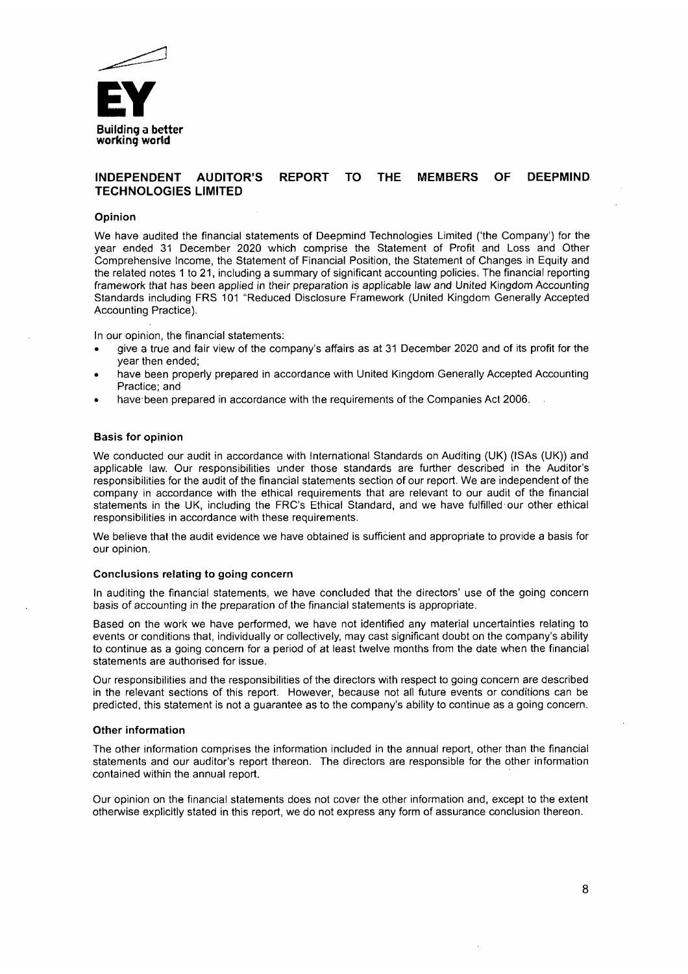

# INDEPENDENT AUDITOR'S REPORT TO THE MEMBERS OF DEEPMIND. TECHNOLOGIES LIMITED

#### Opinion

We have audited the financial statements of Deepmind Technologies Limited ('the Company') for the year ended 31 December 2020 which comprise the Statement of Profit and Loss and Other Comprehensive Income, the Statement of Financial Position, the Statement of Changes in Equity and the related notes 1 to 21, including a summary of significant accounting policies. The financial reporting framework that has been applied in their preparation is applicable law and United Kingdom Accounting Standards including FRS 101 "Reduced Disclosure Framework (United Kingdom Generally Accepted Accounting Practice).

In our opinion, the financial statements:

- give a true and fair view of the company's affairs as at 31 December 2020 and of its profit for the year then ended;
- have been properly prepared in accordance with United Kingdom Generally Accepted Accounting Practice; and
- have been prepared in accordance with the requirements of the Companies Act 2006.

#### Basis for opinion

We conducted our audit in accordance with International Standards on Auditing (UK) (ISAs (UK)) and applicable law. Our responsibilities under those standards are further described in the Auditor's responsibilities for the audit of the financial statements section of our report. We are independent of the company in accordance with the ethical requirements that are relevant to our audit of the financial statements in the UK, including the FRC's Ethical Standard, and we have fulfilled our other ethical responsibilities in accordance with these requirements.

We believe that the audit evidence we have obtained is sufficient and appropriate to provide a basis for our opinion.

#### Conclusions relating to going concern

In auditing the financial statements, we have concluded that the directors' use of the going concern basis of accounting in the preparation of the financial statements is appropriate.

Based on the work we have performed, we have not identified any material uncertainties relating to events or conditions that, individually or collectively, may cast significant doubt on the company's ability to continue as a going concern for a period of at least twelve months from the date when the financial statements are authorised for issue.

Our responsibilities and the responsibilities of the directors with respect to going concern are described in the relevant sections of this report. However, because not all future events or conditions can be predicted, this statement is not a guarantee as to the company's ability to continue as a going concern.

#### Other information

The other information comprises the information included in the annual report, other than the financial statements and our auditor's report thereon. The directors are responsible for the other information contained within the annual report.

Our opinion on the financial statements does not cover the other information and, except to the extent otherwise explicitly stated in this report, we do not express any form of assurance conclusion thereon.

8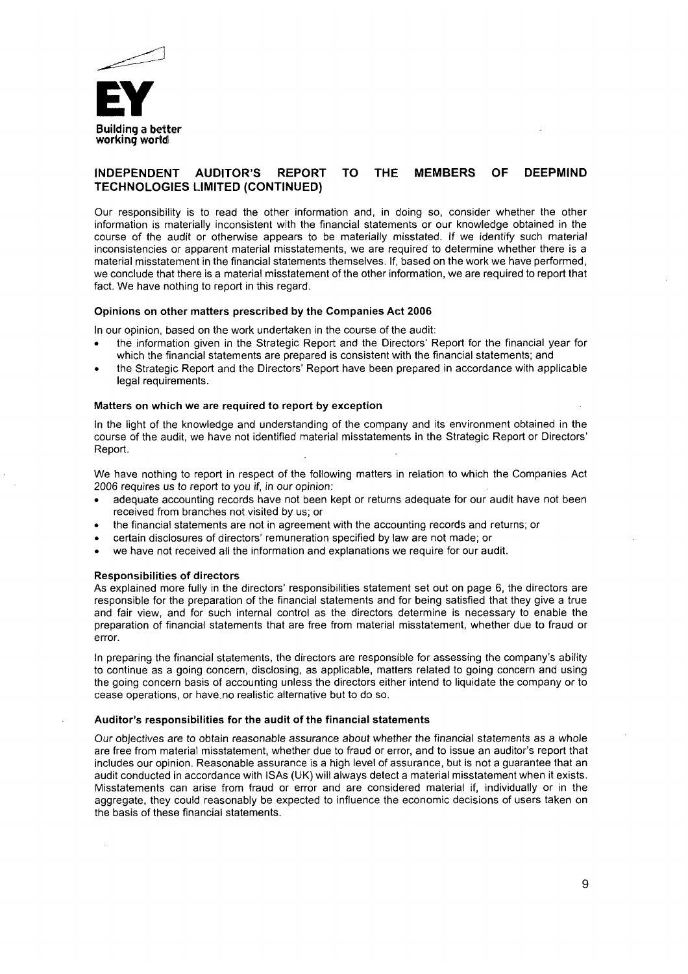

# INDEPENDENT AUDITOR'S REPORT TO THE MEMBERS OF DEEPMIND TECHNOLOGIES LIMITED (CONTINUED)

Our responsibility is to read the other information and, in doing so, consider whether the other information is materially inconsistent with the financial statements or our knowledge obtained in the course of the audit or otherwise appears to be materially misstated. If we identify such material inconsistencies or apparent material misstatements, we are required to determine whether there is a material misstatement in the financial statements themselves. If, based on the work we have performed, we conclude that there is a material misstatement of the other information, we are required to report that fact. We have nothing to report in this regard.

#### Opinions on other matters prescribed by the Companies Act 2006

In our opinion, based on the work undertaken in the course of the audit:

- e the information given in the Strategic Report and the Directors' Report for the financial year for which the financial statements are prepared is consistent with the financial statements; and
- e the Strategic Report and the Directors' Report have been prepared in accordance with applicable legal requirements.

#### Matters on which we are required to report by exception

In the light of the knowledge and understanding of the company and its environment obtained in the course of the audit, we have not identified material misstatements in the Strategic Report or Directors' Report.

We have nothing to report in respect of the following matters in relation to which the Companies Act 2006 requires us to report to you if, in our opinion:

- adequate accounting records have not been kept or returns adequate for our audit have not been received from branches not visited by us; or
- e the financial statements are not in agreement with the accounting records and returns; or
- e certain disclosures of directors' remuneration specified by law are not made; or
- we have not received all the information and explanations we require for our audit.

#### Responsibilities of directors

As explained more fully in the directors' responsibilities statement set out on page 6, the directors are responsible for the preparation of the financial statements and for being satisfied that they give a true and fair view, and for such internal control as the directors determine is necessary to enable the preparation of financial statements that are free from material misstatement, whether due to fraud or error.

In preparing the financial statements, the directors are responsible for assessing the company's ability to continue as a going concern, disclosing, as applicable, matters related to going concern and using the going concern basis of accounting unless the directors either intend to liquidate the company or to cease operations, or have.no realistic alternative but to do so.

#### Auditor's responsibilities for the audit of the financial statements

Our objectives are to obtain reasonable assurance about whether the financial statements as a whole are free from material misstatement, whether due to fraud or error, and to issue an auditor's report that includes our opinion. Reasonable assurance is a high level of assurance, but is not a guarantee that an audit conducted in accordance with ISAs (UK) will always detect a material misstatement when it exists. Misstatements can arise from fraud or error and are considered material if, individually or in the aggregate, they could reasonably be expected to influence the economic decisions of users taken on the basis of these financial statements.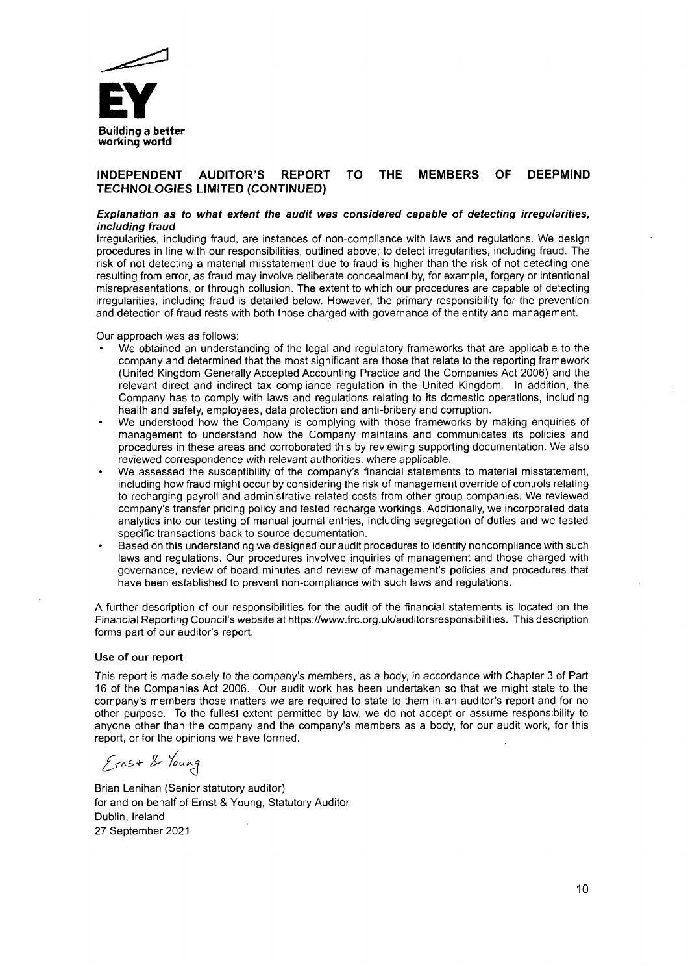

# INDEPENDENT AUDITOR'S REPORT TO THE MEMBERS OF DEEPMIND TECHNOLOGIES LIMITED (CONTINUED)

#### Explanation as to what extent the audit was considered capable of detecting irregularities, including fraud

Irregularities, including fraud, are instances of non-compliance with laws and regulations. We design procedures in line with our responsibilities, outlined above, to detect irregularities, including fraud. The risk of not detecting a material misstatement due to fraud is higher than the risk of not detecting one resulting from error, as fraud may involve deliberate concealment by, for example, forgery or intentional misrepresentations, or through collusion. The extent to which our procedures are capable of detecting irregularities, including fraud is detailed below. However, the primary responsibility for the prevention and detection of fraud rests with both those charged with governance of the entity and management.

Our approach was as follows:

- We obtained an understanding of the legal and regulatory frameworks that are applicable to the company and determined that the most significant are those that relate to the reporting framework (United Kingdom Generally Accepted Accounting Practice and the Companies Act 2006) and the relevant direct and indirect tax compliance regulation in the United Kingdom. In addition, the Company has to comply with laws and regulations relating to its domestic operations, including health and safety, employees, data protection and anti-bribery and corruption.
- We understood how the Company is complying with those frameworks by making enquiries of management to understand how the Company maintains and communicates its policies and procedures in these areas and corroborated this by reviewing supporting documentation. We also reviewed correspondence with relevant authorities, where applicable.
- We assessed the susceptibility of the company's financial statements to material misstatement, including how fraud might occur by considering the risk of management override of controls relating to recharging payroll and administrative related costs from other group companies. We reviewed company's transfer pricing policy and tested recharge workings. Additionally, we incorporated data analytics into our testing of manual journal entries, including segregation of duties and we tested specific transactions back to source documentation.
- Based on this understanding we designed our audit procedures to identify noncompliance with such laws and regulations. Our procedures involved inquiries of management and those charged with governance, review of board minutes and review of management's policies and procedures that have been established to prevent non-compliance with such laws and regulations.

A further description of our responsibilities for the audit of the financial statements is located on the Financial Reporting Council's website at https://www.frc.org.uk/auditorsresponsibilities. This description forms part of our auditor's report.

#### Use of our report

This report is made solely to the company's members, as a body, in accordance with Chapter 3 of Part 16 of the Companies Act 2006. Our audit work has been undertaken so that we might state to the company's members those matters we are required to state to them in. an auditor's report and for no other purpose. To the fullest extent permitted by law, we do not accept or assume responsibility to anyone other than the company and the company's members as a body, for our audit work, for this report, or for the opinions we have formed.

Lense & Young

Brian Lenihan (Senior statutory auditor} for and on behalf of Ernst & Young, Statutory Auditor Dublin, Ireland 27 September 2021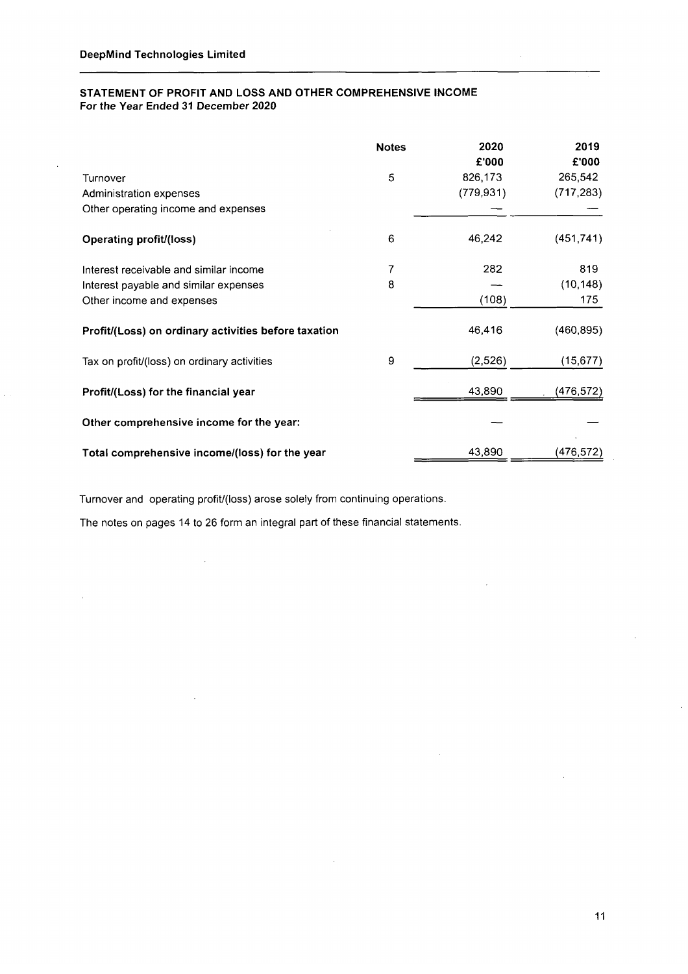$\hat{\boldsymbol{\epsilon}}$ 

# STATEMENT OF PROFIT AND LOSS AND OTHER COMPREHENSIVE INCOME For the Year Ended 31 December 2020

| <b>DeepMind Technologies Limited</b>                                                               |              |               |               |
|----------------------------------------------------------------------------------------------------|--------------|---------------|---------------|
| STATEMENT OF PROFIT AND LOSS AND OTHER COMPREHENSIVE INCOME<br>For the Year Ended 31 December 2020 |              |               |               |
|                                                                                                    | <b>Notes</b> | 2020<br>£'000 | 2019<br>£'000 |
| Turnover                                                                                           | 5            | 826,173       | 265,542       |
| Administration expenses                                                                            |              | (779, 931)    | (717, 283)    |
| Other operating income and expenses                                                                |              |               |               |
| <b>Operating profit/(loss)</b>                                                                     | 6            | 46,242        | (451, 741)    |
| Interest receivable and similar income                                                             | 7            | 282           | 819           |
| Interest payable and similar expenses                                                              | 8            |               | (10, 148)     |
| Other income and expenses                                                                          |              | (108)         | 175           |
| Profit/(Loss) on ordinary activities before taxation                                               |              | 46,416        | (460, 895)    |
| Tax on profit/(loss) on ordinary activities                                                        | 9            | (2,526)       | (15, 677)     |
| Profit/(Loss) for the financial year                                                               |              | 43,890        | (476, 572)    |
| Other comprehensive income for the year:                                                           |              |               |               |
| Total comprehensive income/(loss) for the year                                                     |              | 43,890        | (476, 572)    |

 $\ddot{\phantom{a}}$ 

 $\bar{u}$ 

Turnover and operating profit/(ioss) arose solely from continuing operations.

 $\sim 10$ 

 $\bar{z}$ 

The notes on pages 14 to 26 form an integral part of these financial statements.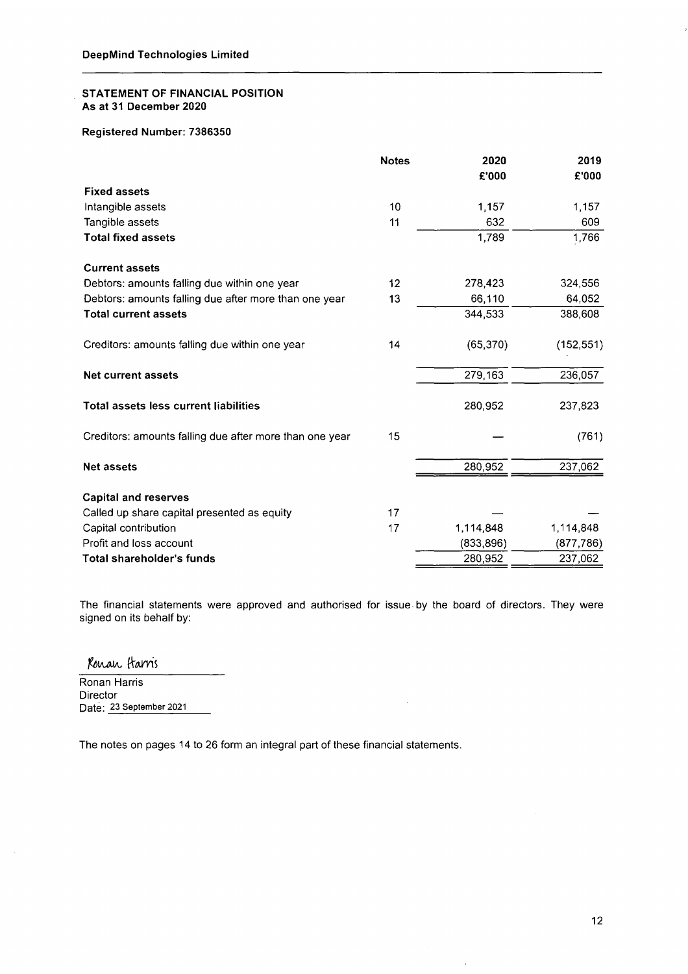# STATEMENT OF FINANCIAL POSITION As at 31 December 2020

# Registered Number: 7386350

| <b>DeepMind Technologies Limited</b>                                                                                             |              |               |               |
|----------------------------------------------------------------------------------------------------------------------------------|--------------|---------------|---------------|
| STATEMENT OF FINANCIAL POSITION<br>As at 31 December 2020                                                                        |              |               |               |
| Registered Number: 7386350                                                                                                       |              |               |               |
|                                                                                                                                  | <b>Notes</b> | 2020<br>£'000 | 2019<br>£'000 |
| <b>Fixed assets</b>                                                                                                              |              |               |               |
| Intangible assets                                                                                                                | 10           | 1,157         | 1,157         |
| Tangible assets                                                                                                                  | 11           | 632           | 609           |
| <b>Total fixed assets</b>                                                                                                        |              | 1,789         | 1,766         |
| <b>Current assets</b>                                                                                                            |              |               |               |
| Debtors: amounts falling due within one year                                                                                     | 12           | 278,423       | 324,556       |
| Debtors: amounts falling due after more than one year                                                                            | 13           | 66,110        | 64,052        |
| <b>Total current assets</b>                                                                                                      |              | 344,533       | 388,608       |
| Creditors: amounts falling due within one year                                                                                   | 14           | (65, 370)     | (152, 551)    |
| <b>Net current assets</b>                                                                                                        |              | 279,163       | 236,057       |
| <b>Total assets less current liabilities</b>                                                                                     |              | 280,952       | 237,823       |
| Creditors: amounts falling due after more than one year                                                                          | 15           |               | (761)         |
| <b>Net assets</b>                                                                                                                |              | 280,952       | 237,062       |
| <b>Capital and reserves</b>                                                                                                      |              |               |               |
| Called up share capital presented as equity                                                                                      | 17           |               |               |
| Capital contribution                                                                                                             | 17           | 1,114,848     | 1,114,848     |
| Profit and loss account                                                                                                          |              | (833, 896)    | (877,786)     |
| Total shareholder's funds                                                                                                        |              | 280,952       | 237,062       |
| The financial statements were approved and authorised for issue by the board of directors. They were<br>signed on its behalf by: |              |               |               |
| Ronan Harris                                                                                                                     |              |               |               |

÷,

 $\ddot{\phantom{1}}$ 

Ronan Harris Director<br>Date: 23 September 2021

The notes on pages 14 to 26 form an integral part of these financial statements.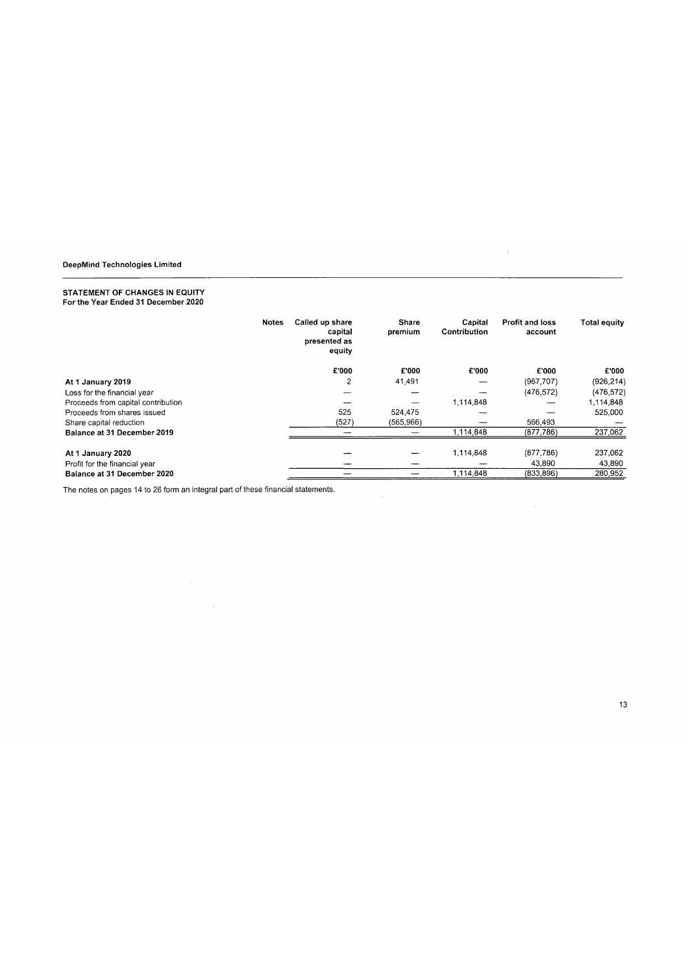# DeepMind Technologies Limited

#### STATEMENT OF CHANGES IN EQUITY For the Year Ended 31 December 2020

| DeepMind Technologies Limited                                         |              |                                                      |                         |                         |                                   |                      |
|-----------------------------------------------------------------------|--------------|------------------------------------------------------|-------------------------|-------------------------|-----------------------------------|----------------------|
| STATEMENT OF CHANGES IN EQUITY<br>For the Year Ended 31 December 2020 |              |                                                      |                         |                         |                                   |                      |
|                                                                       | <b>Notes</b> | Called up share<br>capital<br>presented as<br>equity | <b>Share</b><br>premium | Capital<br>Contribution | <b>Profit and loss</b><br>account | <b>Total equity</b>  |
|                                                                       |              | £'000                                                | £'000                   | £'000                   | £'000                             | £'000                |
| At 1 January 2019                                                     |              | 2                                                    | 41,491                  |                         | (967, 707)                        | (926, 214)           |
| Loss for the financial year                                           |              |                                                      |                         |                         | (476, 572)                        | (476, 572)           |
| Proceeds from capital contribution<br>Proceeds from shares issued     |              | 525                                                  | 524,475                 | 1,114,848               |                                   | 1,114,848<br>525,000 |
| Share capital reduction                                               |              | (527)                                                | (565, 966)              |                         | 566,493                           |                      |
| Balance at 31 December 2019                                           |              | $\overline{\phantom{0}}$                             |                         | 1,114,848               | (877, 786)                        | 237,062              |
|                                                                       |              |                                                      |                         |                         |                                   |                      |
| At 1 January 2020<br>Profit for the financial year                    |              |                                                      |                         | 1,114,848               | (877, 786)<br>43,890              | 237,062<br>43,890    |
| Balance at 31 December 2020                                           |              |                                                      |                         | 1,114,848               | (833, 896)                        | 280,952              |
|                                                                       |              |                                                      |                         |                         |                                   |                      |

 $\label{eq:2} \frac{1}{\sqrt{2}}\int_{0}^{\infty}\frac{1}{\sqrt{2\pi}}\left(\frac{1}{\sqrt{2}}\right)^{2}d\mu_{\rm{eff}}\,.$ 

The notes on pages 14 to 26 form an integral part of these financial statements.

 $\label{eq:2.1} \frac{1}{\sqrt{2\pi}}\int_{\mathbb{R}^3}\frac{1}{\sqrt{2\pi}}\left(\frac{1}{\sqrt{2\pi}}\right)^2\frac{1}{\sqrt{2\pi}}\int_{\mathbb{R}^3}\frac{1}{\sqrt{2\pi}}\frac{1}{\sqrt{2\pi}}\frac{1}{\sqrt{2\pi}}\frac{1}{\sqrt{2\pi}}\frac{1}{\sqrt{2\pi}}\frac{1}{\sqrt{2\pi}}\frac{1}{\sqrt{2\pi}}\frac{1}{\sqrt{2\pi}}\frac{1}{\sqrt{2\pi}}\frac{1}{\sqrt{2\pi}}\frac{1}{\sqrt{2\pi}}\frac{$ 

 $\label{eq:2} \mathcal{L} = \mathcal{L} \left( \mathcal{L} \right) \mathcal{L} \left( \mathcal{L} \right)$ 

 $13$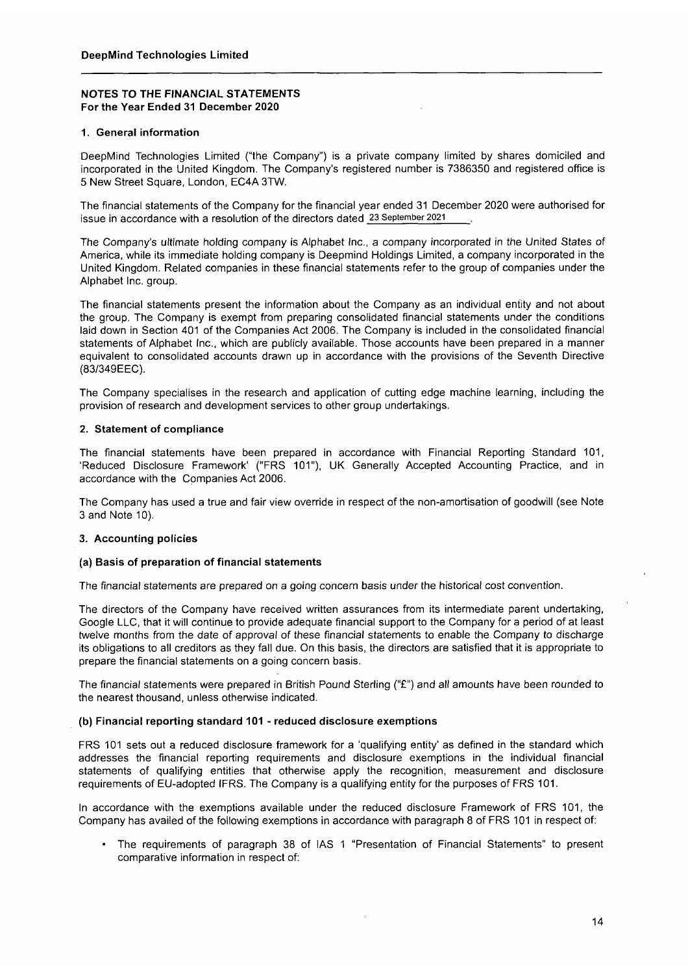# 1. General information

DeepMind Technologies Limited ("the Company") is a private company limited by shares domiciled and incorporated in the United Kingdom. The Company's registered number is 7386350 and registered office is 5 New Street Square, London, EC4A 3TW.

The financial statements of the Company for the financial year ended 31 December 2020 were authorised for issue in accordance with a resolution of the directors dated 23 September 2021 .

The Company's ultimate holding company is Alphabet Inc., a company incorporated in the United States of America, while its immediate holding company is Deepmind Holdings Limited, a company incorporated in the United Kingdom. Related companies in these financial statements refer to the group of companies under the Alphabet Inc. group.

The financial statements present the information about the Company as an individual entity and not about the group. The Company is exempt from preparing consolidated financial statements under the conditions laid down in Section 401 of the Companies Act 2006. The Company is included in the consolidated financial statements of Alphabet Inc., which are publicly available. Those accounts have been prepared in a manner equivalent to consolidated accounts drawn up in accordance with the provisions of the Seventh Directive (83/349EEC).

The Company specialises in the research and application of cutting edge machine learning, including the provision of research and development services to other group undertakings.

# 2. Statement of compliance

The financial statements have been prepared in accordance with Financial Reporting Standard 101, 'Reduced Disclosure Framework' ("FRS 101"), UK Generally Accepted Accounting Practice, and in accordance with the Companies Act 2006.

The Company has used a true and fair view override in respect of the non-amortisation of goodwill (see Note 3 and Note 10).

# 3. Accounting policies

#### (a) Basis of preparation of financial statements

The financial statements are prepared on a going concern basis under the historical cost convention.

The directors of the Company have received written assurances from its intermediate parent undertaking, Google LLC, that it will continue to provide adequate financial support to the Company for a period of at least twelve months from the date of approval of these financial statements to enable the Company to discharge its obligations to all creditors as they fall due. On this basis, the directors are satisfied that it is appropriate to prepare the financial statements on a going concern basis.

The financial statements were prepared in British Pound Sterling ("£") and all amounts have been rounded to the nearest thousand, unless otherwise indicated.

# (b) Financial reporting standard 101 - reduced disclosure exemptions

FRS 101 sets out a reduced disclosure framework for a 'qualifying entity' as defined in the standard which addresses the financial reporting requirements and disclosure exemptions in the individual financial statements of qualifying entities that otherwise apply the recognition, measurement and disclosure requirements of EU-adopted IFRS. The Company is a qualifying entity for the purposes of FRS 101.

In accordance with the exemptions available under the reduced disclosure Framework of FRS 101, the Company has availed of the following exemptions in accordance with paragraph 8 of FRS 101 in respect of:

The requirements of paragraph 38 of IAS 1 "Presentation of Financial Statements" to present comparative information in respect of: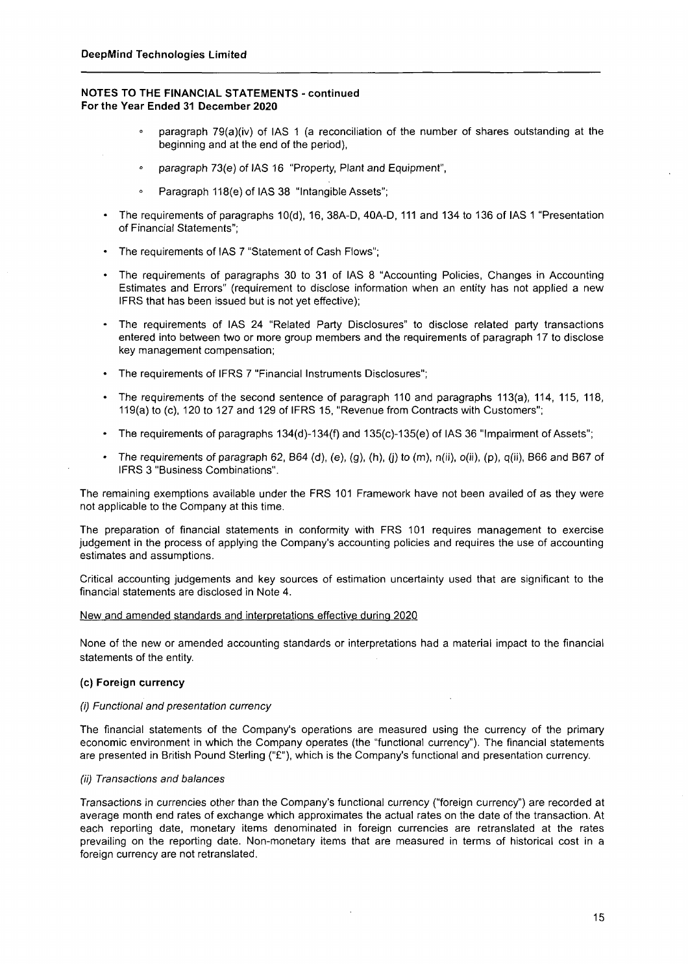- ° paragraph 79(a)(iv) of IAS 1 (a reconciliation of the number of shares outstanding at the beginning and at the end of the period),
- paragraph 73(e) of IAS 16 "Property, Plant and Equipment",
- ° Paragraph 118(e) of IAS 38 "Intangible Assets';
- \* The requirements of paragraphs 10(d), 16, 38A-D, 40A-D, 111 and 134 to 136 of IAS 1 "Presentation of Financial Statements';
- \* The requirements of IAS 7 "Statement of Cash Flows";
- \* The requirements of paragraphs 30 to 31 of IAS 8 "Accounting Policies, Changes in Accounting Estimates and Errors" (requirement to disclose information when an entity has not applied a new IFRS that has been issued but is not yet effective);
- The requirements of IAS 24 "Related Party Disclosures" to disclose related party transactions entered into between two or more group members and the requirements of paragraph 17 to disclose key management compensation;
- \* The requirements of IFRS 7 "Financial Instruments Disclosures";
- The requirements of the second sentence of paragraph 110 and paragraphs 113(a), 114, 115, 118, 119(a) to (c), 120 to 127 and 129 of IFRS 15, "Revenue from Contracts with Customers";
- + The requirements of paragraphs 134(d)-134(f) and 135(c)-135(e) of IAS 36 "Impairment of Assets";
- The requirements of paragraph 62, B64 (d), (e), (g), (h), (j) to (m), n(ii), o(ii), (p), q(ii), B66 and B67 of IFRS 3 "Business Combinations".

The remaining exemptions available under the FRS 101 Framework have not been availed of as they were not applicable to the Company at this time.

The preparation of financial statements in conformity with FRS 101 requires management to exercise judgement in the process of applying the Company's accounting policies and requires the use of accounting estimates and assumptions.

Critical accounting judgements and key sources of estimation uncertainty used that are significant to the financial statements are disclosed in Note 4.

#### New and amended standards and interpretations effective during 2020

None of the new or amended accounting standards or interpretations had a material impact to the financial statements of the entity.

# (c) Foreign currency

#### (i) Functional and presentation currency

The financial statements of the Company's operations are measured using the currency of the primary economic environment in which the Company operates (the "functional currency"). The financial statements are presented in British Pound Sterling ("£"), which is the Company's functional and presentation currency.

#### (ii) Transactions and balances

Transactions in currencies other than the Company's functional currency ("foreign currency") are recorded at average month end rates of exchange which approximates the actual rates on the date of the transaction. At each reporting date, monetary items denominated in foreign currencies are retranslated at the rates prevailing on the reporting date. Non-monetary items that are measured in terms of historical cost in a foreign currency are not retranslated.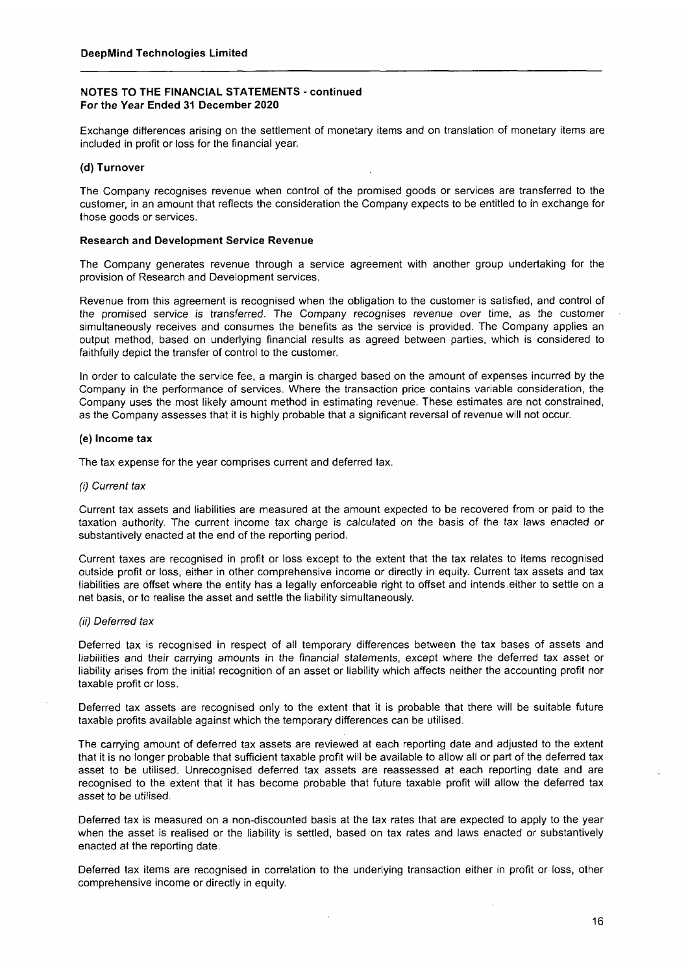Exchange differences arising on the settlement of monetary items and on translation of monetary items are included in profit or loss for the financial year.

#### (d) Turnover

The Company recognises revenue when control of the promised goods or services are transferred to the customer, in an amount that reflects the consideration the Company expects to be entitled to in exchange for those goods or services.

#### Research and Development Service Revenue

The Company generates revenue through a service agreement with another group undertaking for the provision of Research and Development services.

Revenue from this agreement is recognised when the obligation to the customer is satisfied, and control of the promised service is transferred. The Company recognises revenue over time, as the customer simultaneously receives and consumes the benefits as the service is provided. The Company applies an output method, based on underlying financial results as agreed between parties, which is considered to faithfully depict the transfer of control to the customer.

In order to calculate the service fee, a margin is charged based on the amount of expenses incurred by the Company in the performance of services. Where the transaction price contains variable consideration, the Company uses the most likely amount method in estimating revenue. These estimates are not constrained, as the Company assesses that it is highly probable that a significant reversal of revenue will not occur.

#### (e) Income tax

The tax expense for the year comprises current and deferred tax.

#### (i) Current tax

Current tax assets and liabilities are measured at the amount expected to be recovered from or paid to the taxation authority. The current income tax charge is calculated on the basis of the tax laws enacted or substantively enacted at the end of the reporting period.

Current taxes are recognised in profit or loss except to the extent that the tax relates to items recognised outside profit or loss, either in other comprehensive income or directly in equity. Current tax assets and tax liabilities are offset where the entity has a legally enforceable right to offset and intends.either to settle on a net basis, or to realise the asset and settle the liability simultaneously.

#### (ii) Deferred tax

Deferred tax is recognised in respect of all temporary differences between the tax bases of assets and liabilities and their carrying amounts in the financial statements, except where the deferred tax asset or liability arises from the initial recognition of an asset or liability which affects neither the accounting profit nor taxable profit or loss.

Deferred tax assets are recognised only to the extent that it is probable that there will be suitable future taxable profits available against which the temporary differences can be utilised.

The carrying amount of deferred tax assets are reviewed at each reporting date and adjusted to the extent that it is no longer probable that sufficient taxable profit will be available to allow all or part of the deferred tax asset to be utilised. Unrecognised deferred tax assets are reassessed at each reporting date and are recognised to the extent that it has become probable that future taxable profit will allow the deferred tax asset to be utilised.

Deferred tax is measured on a non-discounted basis at the tax rates that are expected to apply to the year when the asset is realised or the liability is settled, based on tax rates and laws enacted or substantively enacted at the reporting date.

Deferred tax items are recognised in correlation to the underlying transaction either in profit or loss, other comprehensive income or directly in equity.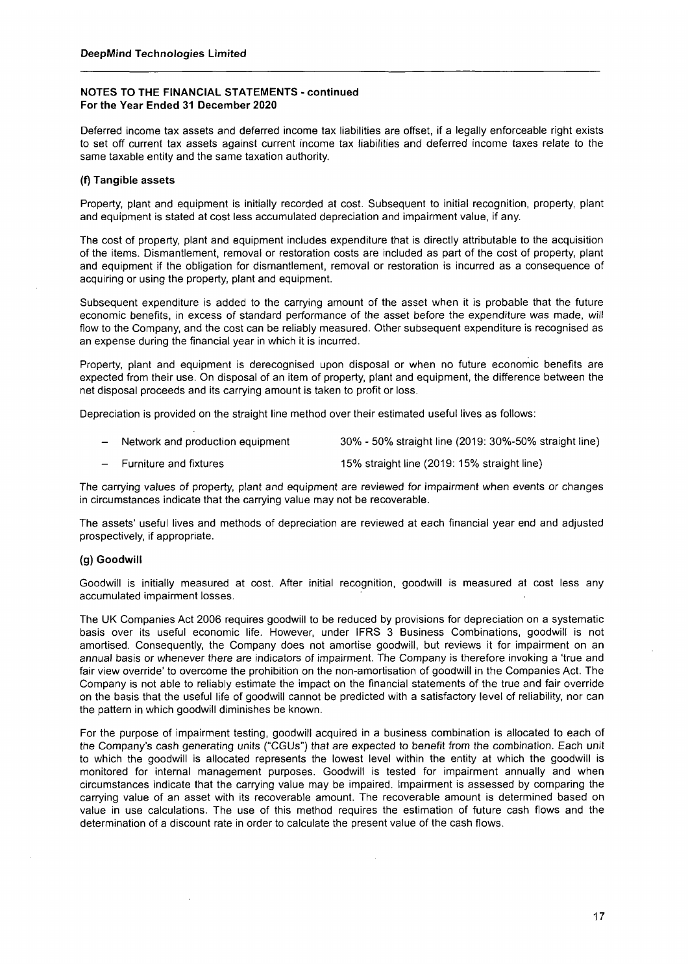Deferred income tax assets and deferred income tax liabilities are offset, if a legally enforceable right exists to set off current tax assets against current income tax liabilities and deferred income taxes relate to the same taxable entity and the same taxation authority.

# (f} Tangible assets

Property, plant and equipment is initially recorded at cost. Subsequent to initial recognition, property, plant and equipment is stated at cost less accumulated depreciation and impairment value, if any.

The cost of property, plant and equipment includes expenditure that is directly attributable to the acquisition of the items. Dismantlement, removal or restoration costs are included as part of the cost of property, plant and equipment if the obligation for dismantlement, removal or restoration is incurred as a consequence of acquiring or using the property, plant and equipment.

Subsequent expenditure is added to the carrying amount of the asset when it is probable that the future economic benefits, in excess of standard performance of the asset before the expenditure was made, will flow to the Company, and the cost can be reliably measured. Other subsequent expenditure is recognised as an expense during the financial year in which it is incurred.

Property, plant and equipment is derecognised upon disposal or when no future economic benefits are expected from their use. On disposal of an item of property, plant and equipment, the difference between the net disposal proceeds and its carrying amount is taken to profit or loss.

Depreciation is provided on the straight line method over their estimated useful lives as follows:

- Network and production equipment 30% 50% straight line (2019: 30%-50% straight line)
- Furniture and fixtures 15% straight line (2019: 15% straight line)

The carrying values of property, plant and equipment are reviewed for impairment when events or changes in circumstances indicate that the carrying value may not be recoverable.

The assets' useful lives and methods of depreciation are reviewed at each financial year end and adjusted prospectively, if appropriate.

# (g) Goodwill

Goodwill is initially measured at cost. After initial recognition, goodwill is measured at cost less any accumulated impairment losses.

The UK Companies Act 2006 requires goodwill to be reduced by provisions for depreciation on a systematic basis over its useful economic life. However, under IFRS 3 Business Combinations, goodwill is not amortised. Consequently, the Company does not amortise goodwill, but reviews it for impairment on an annual basis or whenever there are indicators of impairment. The Company is therefore invoking a 'true and fair view override' to overcome the prohibition on the non-amortisation of goodwill in the Companies Act. The Company is not able to reliably estimate the impact on the financial statements of the true and fair override on the basis that the useful life of goodwill cannot be predicted with a satisfactory level of reliability, nor can the pattern in which goodwill diminishes be known.

For the purpose of impairment testing, goodwill acquired in a business combination is allocated to each of the Company's cash generating units ("CGUs") that are expected to benefit from the combination. Each unit to which the goodwill is allocated represents the lowest level within the entity at which the goodwill is monitored for internal management purposes. Goodwill is tested for impairment annually and when circumstances indicate that the carrying value may be impaired. Impairment is assessed by comparing the carrying value of an asset with its recoverable amount. The recoverable amount is determined based on value in use calculations. The use of this method requires the estimation of future cash flows and the determination of a discount rate in order to calculate the present value of the cash flows.

17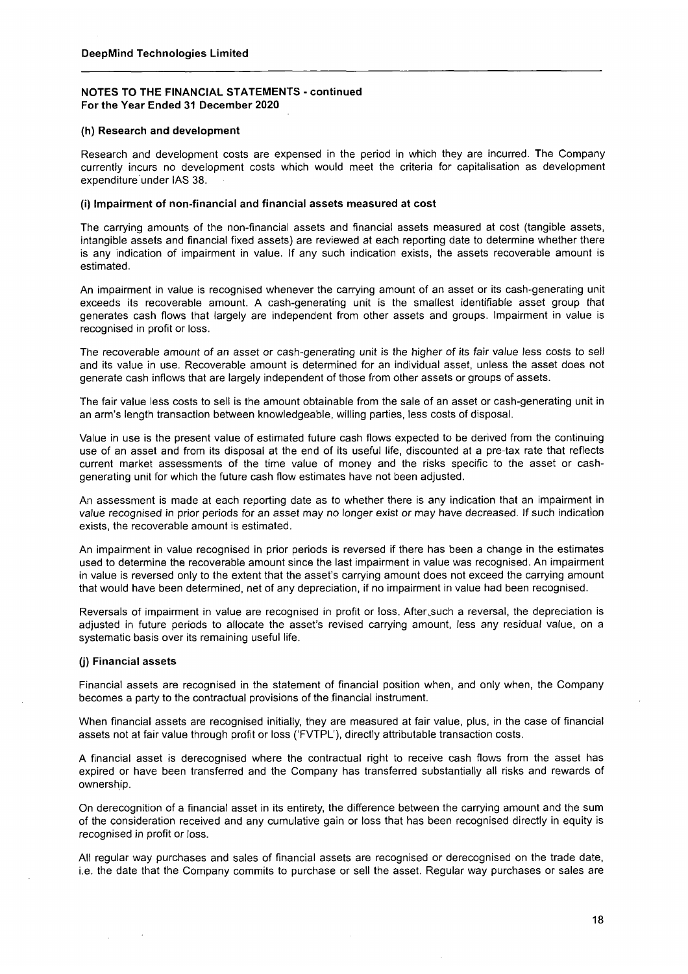#### (h) Research and development

Research and development costs are expensed in the period in which they are incurred. The Company currently incurs no development costs which would meet the criteria for capitalisation as development expenditure under IAS 38.

#### (i) Impairment of non-financial and financial assets measured at cost

The carrying amounts of the non-financial assets and financial assets measured at cost (tangible assets, intangible assets and financial fixed assets) are reviewed at each reporting date to determine whether there is any indication of impairment in value. If any such indication exists, the assets recoverable amount is estimated.

An impairment in vaiue is recognised whenever the carrying amount of an asset or its cash-generating unit exceeds its recoverable amount. A cash-generating unit is the smallest identifiable asset group that generates cash flows that largely are independent from other assets and groups. Impairment in value is recognised in profit or loss.

The recoverable amount of an asset or cash-generating unit is the higher of its fair value less costs to sell and its value in use. Recoverable amount is determined for an individual asset, unless the asset does not generate cash inflows that are largely independent of those from other assets or groups of assets.

The fair value less costs to sell is the amount obtainable from the sale of an asset or cash-generating unit in an arm's length transaction between knowledgeable, willing parties, less costs of disposal.

Value in use is the present value of estimated future cash flows expected to be derived from the continuing use of an asset and from its disposal at the end of its useful life, discounted at a pre-tax rate that reflects current market assessments of the time value of money and the risks specific to the asset or cashgenerating unit for which the future cash flow estimates have not been adjusted.

An assessment is made at each reporting date as to whether there is any indication that an impairment in value recognised in prior periods for an asset may no longer exist or may have decreased. If such indication exists, the recoverable amount is estimated.

An impairment in value recognised in prior periods is reversed if there has been a change in the estimates used to determine the recoverable amount since the last impairment in value was recognised. An impairment in value is reversed only to the extent that the asset's carrying amount does not exceed the carrying amount that would have been determined, net of any depreciation, if no impairment in value had been recognised.

Reversals of impairment in value are recognised in profit or loss. After.such a reversal, the depreciation is adjusted in future periods to allocate the asset's revised carrying amount, less any residual value, on a systematic basis over its remaining useful life.

#### (j) Financial assets

Financial assets are recognised in the statement of financial position when, and only when, the Company becomes a party to the contractual provisions of the financial instrument.

When financial assets are recognised initially, they are measured at fair value, plus, in the case of financial assets not at fair value through profit or loss (FVTPL), directly attributable transaction costs.

A financial asset is derecognised where the contractual right to receive cash flows from the asset has expired or have been transferred and the Company has transferred substantially all risks and rewards of ownership.

On derecognition of a financial asset in its entirety, the difference between the carrying amount and the sum of the consideration received and any cumulative gain or loss that has been recognised directly in equity is recognised in profit or loss.

All regular way purchases and sales of financial assets are recognised or derecognised on the trade date, i.e. the date that the Company commits to purchase or sell the asset. Regular way purchases or sales are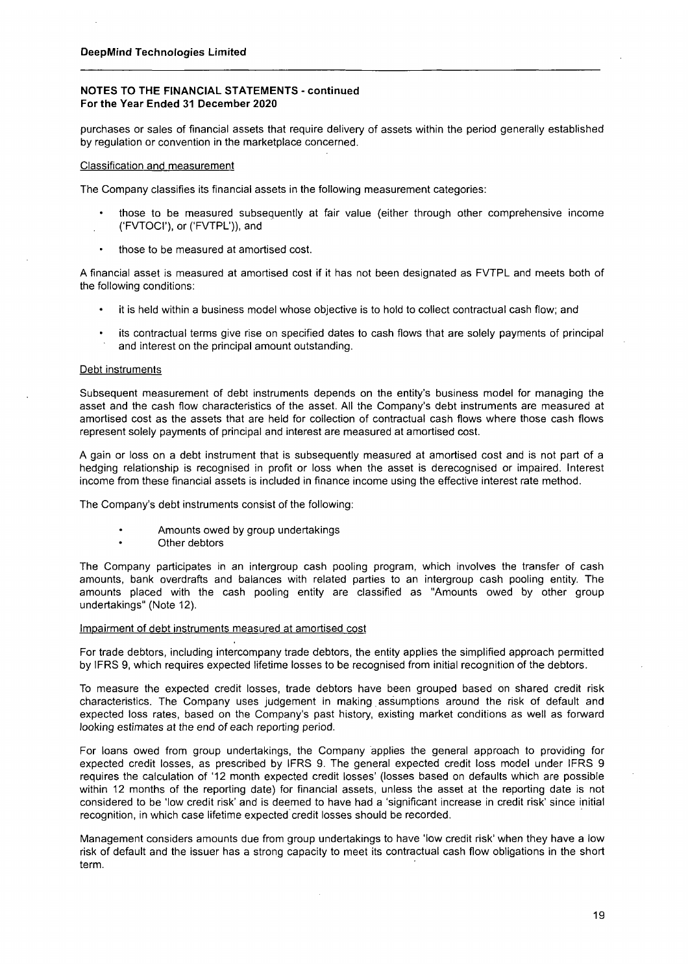purchases or sales of financial assets that require delivery of assets within the period generally established by regulation or convention in the marketplace concerned.

#### Classification and measurement

The Company classifies its financial assets in the following measurement categories:

- those to be measured subsequently at fair value (either through other comprehensive income ('FVTOCI), or (FVTPL)), and
- those to be measured at amortised cost.

A financial asset is measured at amortised cost if it has not been designated as FVTPL and meets both of the following conditions:

- it is held within a business model whose objective is to hold to collect contractual cash flow; and
- its contractual terms give rise on specified dates to cash flows that are solely payments of principal and interest on the principal amount outstanding.

#### Debt instruments

Subsequent measurement of debt instruments depends on the entity's business model for managing the asset and the cash flow characteristics of the asset. All the Company's debt instruments are measured at amortised cost as the assets that are held for collection of contractual cash flows where those cash flows represent solely payments of principal and interest are measured at amortised cost.

A gain or loss on a debt instrument that is subsequently measured at amortised cost and is not part of a hedging relationship is recognised in profit or loss when the asset is derecognised or impaired. Interest income from these financial assets is included in finance income using the effective interest rate method.

The Company's debt instruments consist of the following:

- . Amounts owed by group undertakings
- . Other debtors

The Company participates in an intergroup cash pooling program, which involves the transfer of cash amounts, bank overdrafts and balances with related parties to an intergroup cash pooling entity. The amounts placed with the cash pooling entity are classified as "Amounts owed by other group undertakings" (Note 12).

#### Impairment of debt instruments measured at amortised cost

For trade debtors, including intercompany trade debtors, the entity applies the simplified approach permitted by IFRS 9, which requires expected lifetime losses to be recognised from initial recognition of the debtors.

To measure the expected credit losses, trade debtors have been grouped based on shared credit risk characteristics. The Company uses judgement in making assumptions around the risk of default and expected loss rates, based on the Company's past history, existing market conditions as well as forward looking estimates at the end of each reporting period.

For loans owed from group undertakings, the Company applies the general approach to providing for expected credit losses, as prescribed by IFRS 9. The general expected credit loss model under IFRS 9 requires the calculation of '12 month expected credit losses' (losses based on defaults which are possible within 12 months of the reporting date) for financial assets, unless the asset at the reporting date is not considered to be 'low credit risk' and is deemed to have had a 'significant increase in credit risk' since initial recognition, in which case lifetime expected credit losses should be recorded.

Management considers amounts due from group undertakings to have 'low credit risk' when they have a low risk of default and the issuer has a strong capacity to meet its contractual cash flow obligations in the short term. .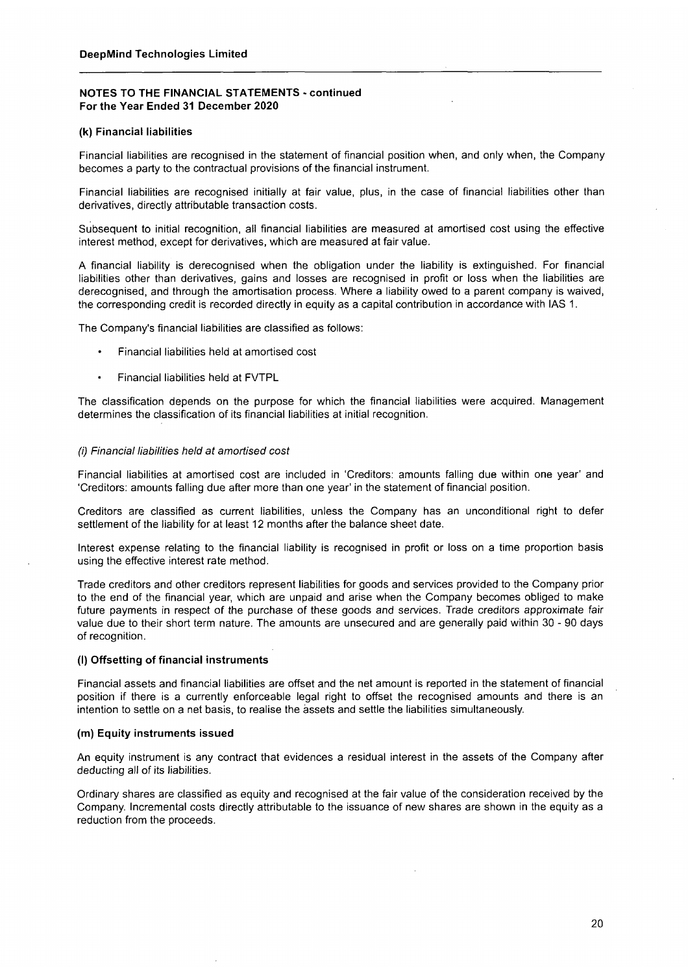#### (k) Financial liabilities

Financial liabilities are recognised in the statement of financial position when, and only when, the Company becomes a party to the contractual provisions of the financial instrument.

Financial liabilities are recognised initially at fair value, plus, in the case of financial liabilities other than derivatives, directly attributable transaction costs.

Subsequent to initial recognition, all financial liabilities are measured at amortised cost using the effective interest method, except for derivatives, which are measured at fair value.

A financial liability is derecognised when the obligation under the liability is extinguished. For financial liabilities other than derivatives, gains and losses are recognised in profit or loss when the liabilities are derecognised, and through the amortisation process. Where a liability owed to a parent company is waived, the corresponding credit is recorded directly in equity as a capital contribution in accordance with IAS 1.

The Company's financial liabilities are classified as follows:

- Financial liabilities held at amortised cost
- Financial liabilities held at FVTPL

The classification depends on the purpose for which the financial liabilities were acquired. Management determines the classification of its financial liabilities at initial recognition.

#### (i) Financial liabilities held at amortised cost

Financial liabilities at amortised cost are included in 'Creditors: amounts falling due within one year' and 'Creditors: amounts falling due after more than one year' in the statement of financial position.

Creditors are classified as current liabilities, unless the Company has an unconditional right to defer settlement of the liability for at least 12 months after the balance sheet date.

Interest expense relating to the financial liability is recognised in profit or loss on a time proportion basis using the effective interest rate method.

Trade creditors and other creditors represent liabilities for goods and services provided to the Company prior to the end of the financial year, which are unpaid and arise when the Company becomes obliged to make future payments in respect of the purchase of these goods and services. Trade creditors approximate fair value due to their short term nature. The amounts are unsecured and are generally paid within 30 - 90 days of recognition.

#### (Il) Offsetting of financial instruments

Financial assets and financial liabilities are offset and the net amount is reported in the statement of financial position if there is a currently enforceable legal right to offset the recognised amounts and there is an intention to settle on a net basis, to realise the assets and settle the liabilities simultaneously.

#### (m) Equity instruments issued

An equity instrument is any contract that evidences a residual interest in the assets of the Company after deducting all of its liabilities.

Ordinary shares are classified as equity and recognised at the fair value of the consideration received by the Company. Incremental costs directly attributable to the issuance of new shares are shown in the equity as a reduction from the proceeds.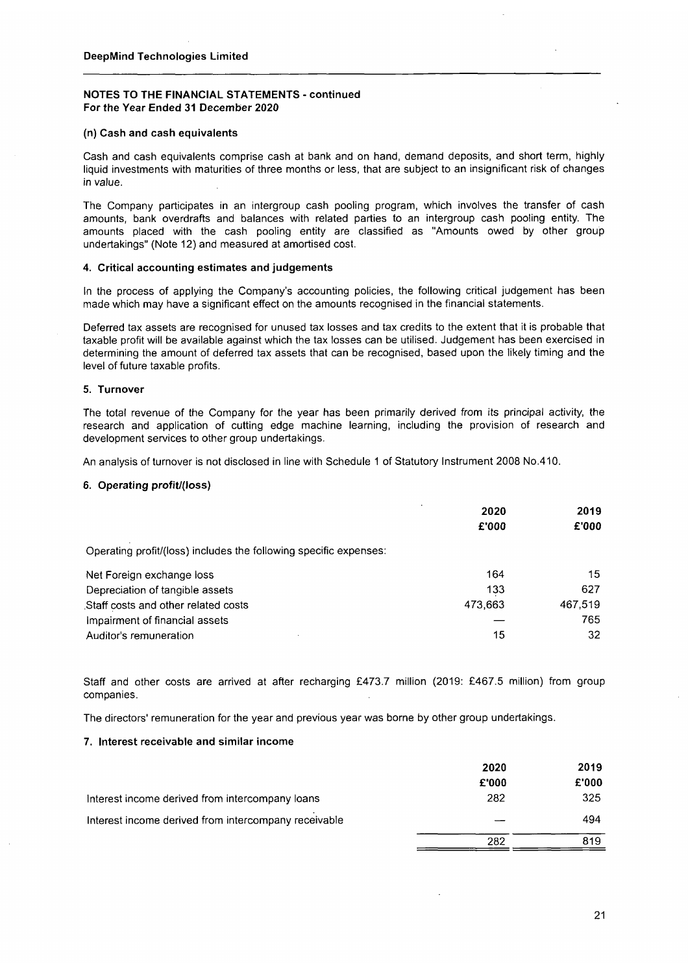#### (n) Cash and cash equivalents

Cash and cash equivalents comprise cash at bank and on hand, demand deposits, and short term, highly liquid investments with maturities of three months or less, that are subject to an insignificant risk of changes in value.

The Company participates in an intergroup cash pooling program, which involves the transfer of cash amounts, bank overdrafts and balances with related parties to an intergroup cash pooling entity. The amounts placed with the cash pooling entity are classified as "Amounts owed by other group undertakings" (Note 12) and measured at amortised cost.

#### 4. Critical accounting estimates and judgements

In the process of applying the Company's accounting policies, the following critical judgement has been made which may have a significant effect on the amounts recognised in the financial statements.

Deferred tax assets are recognised for unused tax losses and tax credits to the extent that it is probable that taxable profit will be available against which the tax losses can be utilised. Judgement has been exercised in determining the amount of deferred tax assets that can be recognised, based upon the likely timing and the level of future taxable profits.

# 5. Turnover

The total revenue of the Company for the year has been primarily derived from its principal activity, the research and application of cutting edge machine learning, including the provision of research and development services to other group undertakings.

An analysis of turnover is not disclosed in line with Schedule 1 of Statutory Instrument 2008 No.410.

#### 6. Operating profit/(ioss)

|                                                                   | 2020<br>£'000 | 2019<br>£'000 |
|-------------------------------------------------------------------|---------------|---------------|
| Operating profit/(loss) includes the following specific expenses: |               |               |
| Net Foreign exchange loss                                         | 164           | 15            |
| Depreciation of tangible assets                                   | 133           | 627           |
| Staff costs and other related costs                               | 473,663       | 467.519       |
| Impairment of financial assets                                    |               | 765           |
| Auditor's remuneration                                            | 15            | 32            |

#### 7. Interest receivable and similar income

| Staff and other costs are arrived at after recharging £473.7 million (2019: £467.5 million) from group<br>companies. |       |       |
|----------------------------------------------------------------------------------------------------------------------|-------|-------|
| The directors' remuneration for the year and previous year was borne by other group undertakings.                    |       |       |
| 7. Interest receivable and similar income                                                                            |       |       |
|                                                                                                                      | 2020  | 2019  |
|                                                                                                                      | £'000 | £'000 |
| Interest income derived from intercompany loans                                                                      | 282   | 325   |
| Interest income derived from intercompany receivable                                                                 |       | 494   |
|                                                                                                                      | 282   | 819   |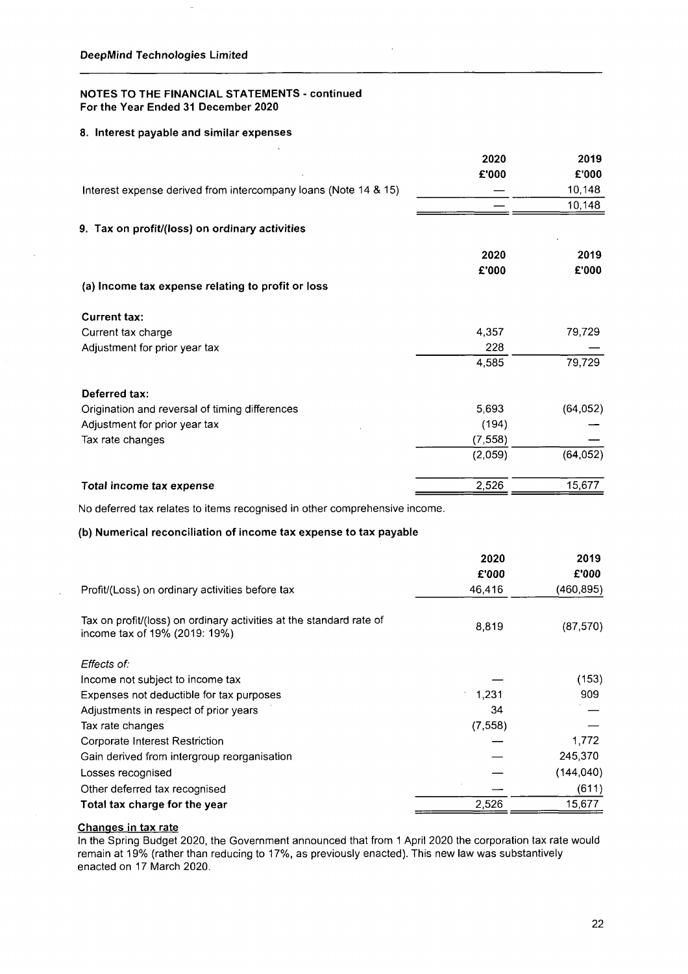# 8. Interest payable and similar expenses

| <b>DeepMind Technologies Limited</b>                                                 |                     |                  |
|--------------------------------------------------------------------------------------|---------------------|------------------|
| NOTES TO THE FINANCIAL STATEMENTS - continued<br>For the Year Ended 31 December 2020 |                     |                  |
| 8. Interest payable and similar expenses                                             |                     |                  |
|                                                                                      | 2020<br>£'000       | 2019<br>£'000    |
| Interest expense derived from intercompany loans (Note 14 & 15)                      |                     | 10,148<br>10,148 |
| 9. Tax on profit/(loss) on ordinary activities                                       |                     |                  |
|                                                                                      | 2020<br>£'000       | 2019<br>£'000    |
| (a) Income tax expense relating to profit or loss                                    |                     |                  |
| <b>Current tax:</b>                                                                  |                     |                  |
| Current tax charge                                                                   | 4,357               | 79,729           |
| Adjustment for prior year tax                                                        | 228<br>4,585        | 79,729           |
| Deferred tax:                                                                        |                     |                  |
| Origination and reversal of timing differences                                       | 5,693               | (64, 052)        |
| Adjustment for prior year tax                                                        | (194)               |                  |
| Tax rate changes                                                                     | (7, 558)<br>(2,059) | (64, 052)        |
| <b>Total income tax expense</b>                                                      | 2,526               | 15,677           |
| No deferred tax relates to items recognised in other comprehensive income.           |                     |                  |
| (b) Numerical reconciliation of income tax expense to tax payable                    |                     |                  |
|                                                                                      | 2020                | 2019             |
|                                                                                      | £'000               | £'000            |
| Profit/(Loss) on ordinary activities before tax                                      | 46,416              | (460, 895)       |

# (b) Numerical reconciliation of income tax expense to tax payable

|                                                                                                      | 2020<br>£'000 | 2019<br>£'000 |
|------------------------------------------------------------------------------------------------------|---------------|---------------|
| Profit/(Loss) on ordinary activities before tax                                                      | 46.416        | (460,895)     |
| Tax on profit/(loss) on ordinary activities at the standard rate of<br>income tax of 19% (2019: 19%) | 8,819         | (87, 570)     |
| Effects of:                                                                                          |               |               |
| Income not subject to income tax                                                                     |               | (153)         |
| Expenses not deductible for tax purposes                                                             | 1.231         | 909           |
| Adjustments in respect of prior years                                                                | 34            |               |
| Tax rate changes                                                                                     | (7, 558)      |               |
| Corporate Interest Restriction                                                                       |               | 1,772         |
| Gain derived from intergroup reorganisation                                                          |               | 245,370       |
| Losses recognised                                                                                    |               | (144, 040)    |
| Other deferred tax recognised                                                                        |               | (611)         |
| Total tax charge for the year                                                                        | 2,526         | 15,677        |

# Changes in tax rate

In the Spring Budget 2020, the Government announced that from 1 April 2020 the corporation tax rate would remain at 19% (rather than reducing to 17%, as previously enacted). This new law was substantively enacted on 17 March 2020.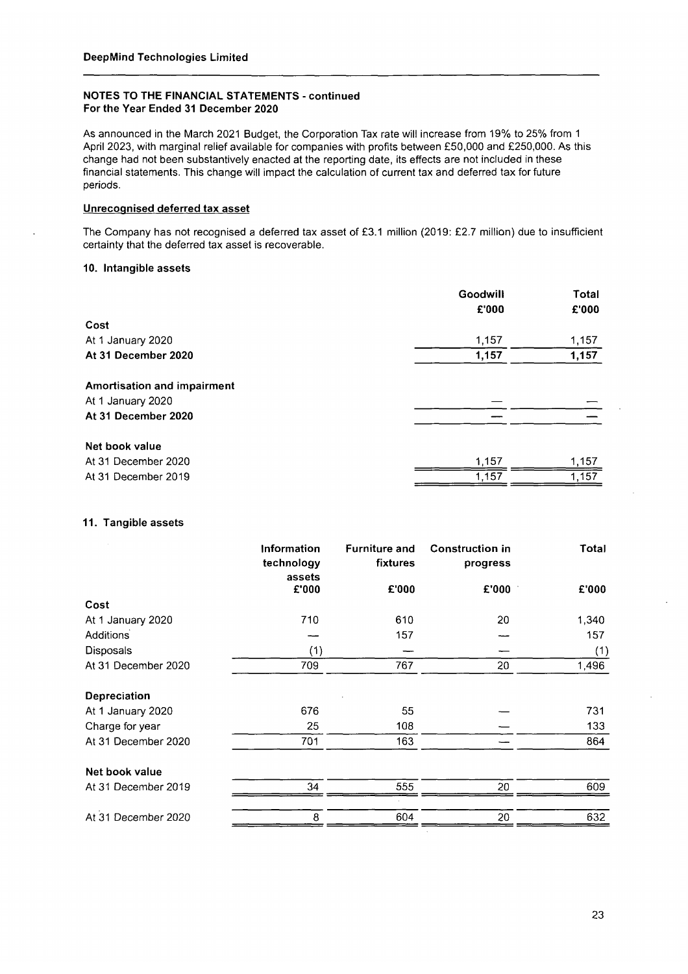As announced in the March 2021 Budget, the Corporation Tax rate will increase from 19% to 25% from 1 April 2023, with marginal relief available for companies with profits between £50,000 and £250,000. As this change had not been substantively enacted at the reporting date, its effects are not included in these financial statements. This change will impact the calculation of current tax and deferred tax for future periods.

# Unrecognised deferred tax asset

# 10. Intangible assets

| financial statements. This change will impact the calculation of current tax and deferred tax for future<br>periods.                                                  |             |                      |                        |       |
|-----------------------------------------------------------------------------------------------------------------------------------------------------------------------|-------------|----------------------|------------------------|-------|
| Unrecognised deferred tax asset                                                                                                                                       |             |                      |                        |       |
| The Company has not recognised a deferred tax asset of £3.1 million (2019: £2.7 million) due to insufficient<br>certainty that the deferred tax asset is recoverable. |             |                      |                        |       |
| 10. Intangible assets                                                                                                                                                 |             |                      |                        |       |
|                                                                                                                                                                       |             |                      | Goodwill               | Total |
|                                                                                                                                                                       |             |                      | £'000                  | £'000 |
| Cost                                                                                                                                                                  |             |                      |                        |       |
| At 1 January 2020                                                                                                                                                     |             |                      | 1,157                  | 1,157 |
| At 31 December 2020                                                                                                                                                   |             |                      | 1,157                  | 1,157 |
| Amortisation and impairment                                                                                                                                           |             |                      |                        |       |
| At 1 January 2020                                                                                                                                                     |             |                      |                        |       |
| At 31 December 2020                                                                                                                                                   |             |                      |                        |       |
| Net book value                                                                                                                                                        |             |                      |                        |       |
| At 31 December 2020                                                                                                                                                   |             |                      | 1,157                  | 1,157 |
| At 31 December 2019                                                                                                                                                   |             |                      | 1,157                  | 1,157 |
| 11. Tangible assets                                                                                                                                                   |             |                      |                        |       |
|                                                                                                                                                                       | Information | <b>Furniture and</b> | <b>Construction in</b> | Total |
|                                                                                                                                                                       | technology  | fixtures             | progress               |       |
|                                                                                                                                                                       | assets      |                      |                        |       |
|                                                                                                                                                                       | £'000       | £'000                | £'000                  | £'000 |
| Cost                                                                                                                                                                  |             |                      |                        |       |
| At 1 January 2020                                                                                                                                                     | 710         | 610                  | 20                     | 1,340 |
| <b>Additions</b>                                                                                                                                                      |             | 157                  |                        | 157   |
| Disposals                                                                                                                                                             | (1)         |                      |                        | (1)   |
| At 31 December 2020                                                                                                                                                   | 709         | 767                  | 20                     | 1,496 |

#### 11. Tangible assets

| Amortisation and impairment |             |                      |                        |       |
|-----------------------------|-------------|----------------------|------------------------|-------|
| At 1 January 2020           |             |                      |                        |       |
| At 31 December 2020         |             |                      |                        |       |
| Net book value              |             |                      |                        |       |
| At 31 December 2020         |             |                      | 1,157                  | 1,157 |
| At 31 December 2019         |             |                      | 1,157                  | 1,157 |
| 11. Tangible assets         |             |                      |                        |       |
|                             | Information | <b>Furniture and</b> | <b>Construction in</b> | Total |
|                             | technology  | fixtures             | progress               |       |
|                             | assets      |                      |                        |       |
|                             | £'000       | £'000                | £'000                  | £'000 |
| Cost                        |             |                      |                        |       |
| At 1 January 2020           | 710         | 610                  | 20                     | 1,340 |
| <b>Additions</b>            |             | 157                  |                        | 157   |
| Disposals                   | (1)         |                      |                        | (1)   |
| At 31 December 2020         | 709         | 767                  | 20                     | 1,496 |
| Depreciation                |             |                      |                        |       |
| At 1 January 2020           | 676         | 55                   |                        | 731   |
| Charge for year             | 25          | 108                  |                        | 133   |
| At 31 December 2020         | 701         | 163                  |                        | 864   |
| Net book value              |             |                      |                        |       |
| At 31 December 2019         | 34          | 555                  | 20                     | 609   |
|                             |             |                      |                        |       |
| At 31 December 2020         | 8           | 604                  | 20                     | 632   |
|                             |             |                      |                        |       |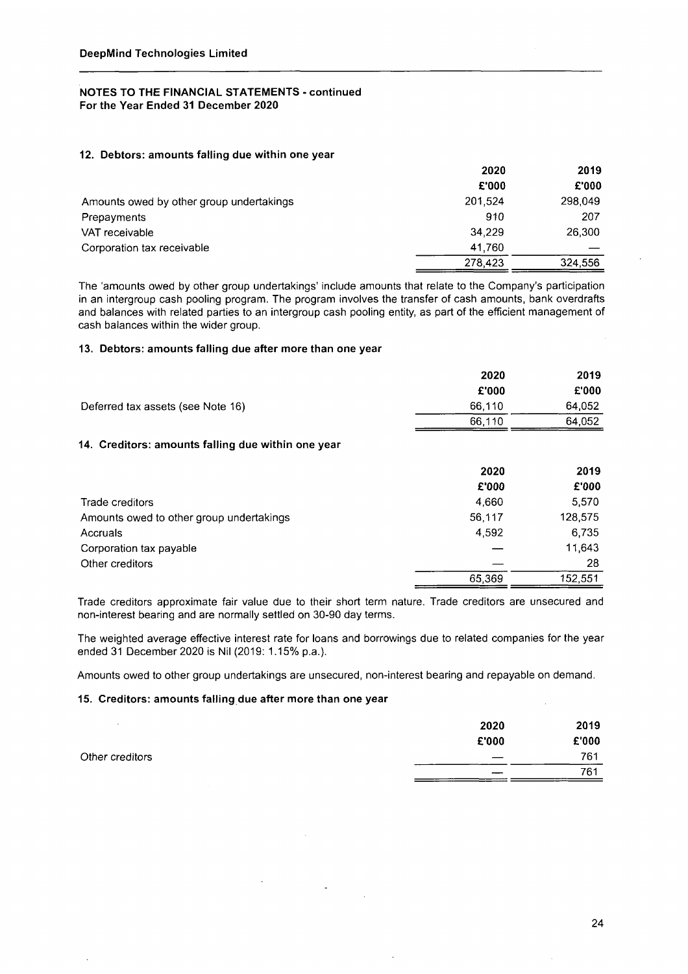# 12. Debtors: amounts falling due within one year

| NOTES TO THE FINANCIAL STATEMENTS - continued<br>For the Year Ended 31 December 2020 |         |         |
|--------------------------------------------------------------------------------------|---------|---------|
| 12. Debtors: amounts falling due within one year                                     |         |         |
|                                                                                      | 2020    | 2019    |
|                                                                                      | £'000   | £'000   |
| Amounts owed by other group undertakings                                             | 201,524 | 298,049 |
| Prepayments                                                                          | 910     | 207     |
| VAT receivable                                                                       | 34.229  | 26,300  |
| Corporation tax receivable                                                           | 41,760  |         |
|                                                                                      | 278,423 | 324,556 |

# 13. Debtors: amounts falling due after more than one year

| VAT receivable                                                                                                                                                                                                                                                                                                                                                                    | 34,229  | 26,300  |
|-----------------------------------------------------------------------------------------------------------------------------------------------------------------------------------------------------------------------------------------------------------------------------------------------------------------------------------------------------------------------------------|---------|---------|
| Corporation tax receivable                                                                                                                                                                                                                                                                                                                                                        | 41,760  |         |
|                                                                                                                                                                                                                                                                                                                                                                                   | 278,423 | 324,556 |
| The 'amounts owed by other group undertakings' include amounts that relate to the Company's participation<br>in an intergroup cash pooling program. The program involves the transfer of cash amounts, bank overdrafts<br>and balances with related parties to an intergroup cash pooling entity, as part of the efficient management of<br>cash balances within the wider group. |         |         |
| 13. Debtors: amounts falling due after more than one year                                                                                                                                                                                                                                                                                                                         |         |         |
|                                                                                                                                                                                                                                                                                                                                                                                   | 2020    | 2019    |
|                                                                                                                                                                                                                                                                                                                                                                                   | £'000   | £'000   |
| Deferred tax assets (see Note 16)                                                                                                                                                                                                                                                                                                                                                 | 66,110  | 64,052  |
|                                                                                                                                                                                                                                                                                                                                                                                   | 66,110  | 64,052  |
| 14. Creditors: amounts falling due within one year                                                                                                                                                                                                                                                                                                                                |         |         |
|                                                                                                                                                                                                                                                                                                                                                                                   | 2020    | 2019    |
|                                                                                                                                                                                                                                                                                                                                                                                   | £'000   | £'000   |
| Trade creditors                                                                                                                                                                                                                                                                                                                                                                   | 4,660   | 5,570   |
| Amounts owed to other group undertakings                                                                                                                                                                                                                                                                                                                                          | 56,117  | 128,575 |
| Accruals                                                                                                                                                                                                                                                                                                                                                                          | 4,592   | 6,735   |
| Corporation tax payable                                                                                                                                                                                                                                                                                                                                                           |         | 11,643  |
| Other creditors                                                                                                                                                                                                                                                                                                                                                                   |         | 28      |
|                                                                                                                                                                                                                                                                                                                                                                                   | 65,369  | 152,551 |

# 15. Creditors: amounts falling due after more than one year

|                                                                                                                                                                               | 60.309 | ו סכ,∠כו |
|-------------------------------------------------------------------------------------------------------------------------------------------------------------------------------|--------|----------|
| Trade creditors approximate fair value due to their short term nature. Trade creditors are unsecured and<br>non-interest bearing and are normally settled on 30-90 day terms. |        |          |
| The weighted average effective interest rate for loans and borrowings due to related companies for the year<br>ended 31 December 2020 is Nil (2019: 1.15% p.a.).              |        |          |
| Amounts owed to other group undertakings are unsecured, non-interest bearing and repayable on demand.                                                                         |        |          |
| 15. Creditors: amounts falling due after more than one year                                                                                                                   |        |          |
|                                                                                                                                                                               | 2020   | 2019     |
|                                                                                                                                                                               | £'000  | £'000    |
| Other creditors                                                                                                                                                               |        | 761      |
|                                                                                                                                                                               |        | 761      |
|                                                                                                                                                                               |        |          |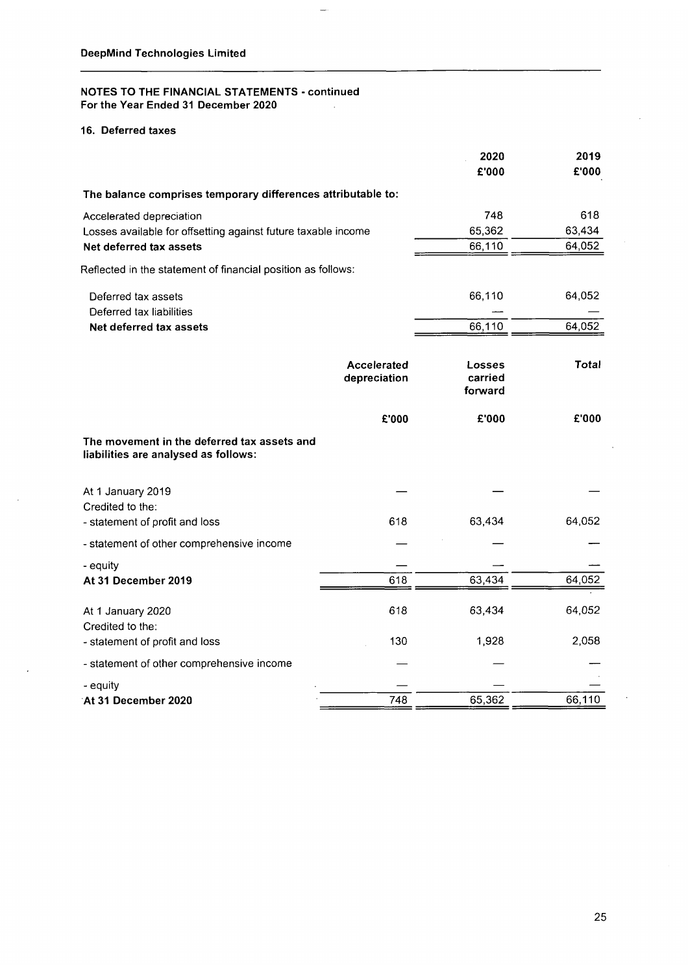# 16. Deferred taxes

 $\ddot{\phantom{a}}$ 

| DeepMind Technologies Limited                                                                                        |                                    |                              |                         |  |
|----------------------------------------------------------------------------------------------------------------------|------------------------------------|------------------------------|-------------------------|--|
| NOTES TO THE FINANCIAL STATEMENTS - continued<br>For the Year Ended 31 December 2020                                 |                                    |                              |                         |  |
| 16. Deferred taxes                                                                                                   |                                    |                              |                         |  |
|                                                                                                                      |                                    | 2020<br>£'000                | 2019<br>£'000           |  |
| The balance comprises temporary differences attributable to:                                                         |                                    |                              |                         |  |
| Accelerated depreciation<br>Losses available for offsetting against future taxable income<br>Net deferred tax assets |                                    | 748<br>65,362<br>66,110      | 618<br>63,434<br>64,052 |  |
| Reflected in the statement of financial position as follows:                                                         |                                    |                              |                         |  |
| Deferred tax assets<br>Deferred tax liabilities                                                                      |                                    | 66,110                       | 64,052                  |  |
| Net deferred tax assets                                                                                              |                                    | 66,110                       | 64,052                  |  |
|                                                                                                                      | <b>Accelerated</b><br>depreciation | Losses<br>carried<br>forward | Total                   |  |
|                                                                                                                      | £'000                              | £'000                        | £'000                   |  |
| The movement in the deferred tax assets and<br>liabilities are analysed as follows:                                  |                                    |                              |                         |  |
| At 1 January 2019<br>Credited to the:                                                                                |                                    |                              |                         |  |
| - statement of profit and loss                                                                                       | 618                                | 63,434                       | 64,052                  |  |
| - statement of other comprehensive income                                                                            |                                    |                              |                         |  |
| - equity<br>At 31 December 2019                                                                                      | 618                                | 63,434                       | 64,052                  |  |
| At 1 January 2020<br>Credited to the:                                                                                | 618                                | 63,434                       | 64,052                  |  |
| - statement of profit and loss                                                                                       | 130                                | 1,928                        | 2,058                   |  |
| - statement of other comprehensive income                                                                            |                                    |                              |                         |  |
| - equity<br>At 31 December 2020                                                                                      | 748                                | 65,362                       | 66,110                  |  |